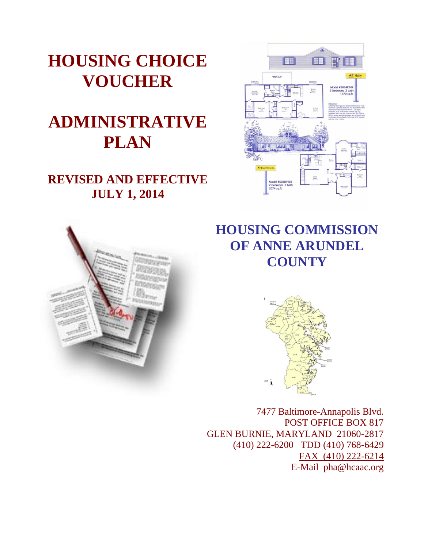

# **ADMINISTRATIVE PLAN**

## **REVISED AND EFFECTIVE JULY 1, 2014**





## **HOUSING COMMISSION OF ANNE ARUNDEL COUNTY**



7477 Baltimore-Annapolis Blvd. POST OFFICE BOX 817 GLEN BURNIE, MARYLAND 21060-2817 (410) 222-6200 TDD (410) 768-6429 FAX (410) 222-6214 E-Mail pha@hcaac.org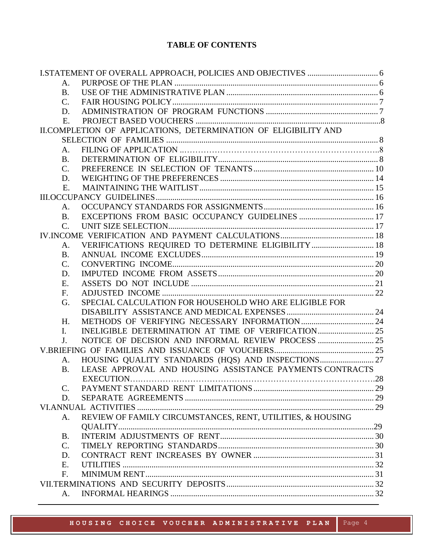## **TABLE OF CONTENTS**

| A.              |                                                                 |  |  |  |
|-----------------|-----------------------------------------------------------------|--|--|--|
| <b>B.</b>       |                                                                 |  |  |  |
| $C_{\cdot}$     |                                                                 |  |  |  |
| D.              |                                                                 |  |  |  |
| E.              |                                                                 |  |  |  |
|                 | II.COMPLETION OF APPLICATIONS, DETERMINATION OF ELIGIBILITY AND |  |  |  |
|                 |                                                                 |  |  |  |
| A.              |                                                                 |  |  |  |
| <b>B.</b>       |                                                                 |  |  |  |
| $\mathcal{C}$ . |                                                                 |  |  |  |
| D.              |                                                                 |  |  |  |
| E.              |                                                                 |  |  |  |
|                 |                                                                 |  |  |  |
| A.              |                                                                 |  |  |  |
| <b>B.</b>       |                                                                 |  |  |  |
| C.              |                                                                 |  |  |  |
|                 |                                                                 |  |  |  |
| A.              | VERIFICATIONS REQUIRED TO DETERMINE ELIGIBILITY  18             |  |  |  |
| <b>B.</b>       |                                                                 |  |  |  |
| $\mathbf{C}$ .  |                                                                 |  |  |  |
| D.              |                                                                 |  |  |  |
| E.              |                                                                 |  |  |  |
| F.              |                                                                 |  |  |  |
| G.              | SPECIAL CALCULATION FOR HOUSEHOLD WHO ARE ELIGIBLE FOR          |  |  |  |
|                 |                                                                 |  |  |  |
| H.              |                                                                 |  |  |  |
| L               |                                                                 |  |  |  |
| J.              |                                                                 |  |  |  |
|                 |                                                                 |  |  |  |
| A.              | HOUSING QUALITY STANDARDS (HQS) AND INSPECTIONS 27              |  |  |  |
| <b>B.</b>       | LEASE APPROVAL AND HOUSING ASSISTANCE PAYMENTS CONTRACTS        |  |  |  |
|                 |                                                                 |  |  |  |
| C.              |                                                                 |  |  |  |
| D.              |                                                                 |  |  |  |
|                 |                                                                 |  |  |  |
| A.              | REVIEW OF FAMILY CIRCUMSTANCES, RENT, UTILITIES, & HOUSING      |  |  |  |
|                 |                                                                 |  |  |  |
| <b>B.</b>       |                                                                 |  |  |  |
| $\mathcal{C}$ . |                                                                 |  |  |  |
| D.              |                                                                 |  |  |  |
| E.              |                                                                 |  |  |  |
| F.              |                                                                 |  |  |  |
|                 |                                                                 |  |  |  |
| A.              |                                                                 |  |  |  |
|                 |                                                                 |  |  |  |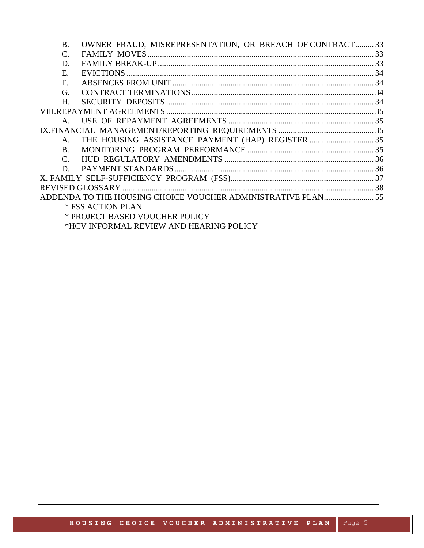| <b>B.</b>                      | OWNER FRAUD, MISREPRESENTATION, OR BREACH OF CONTRACT 33 |  |  |
|--------------------------------|----------------------------------------------------------|--|--|
| C.                             |                                                          |  |  |
| D.                             |                                                          |  |  |
| Ε.                             |                                                          |  |  |
| $F_{\cdot}$                    |                                                          |  |  |
| G.                             |                                                          |  |  |
| $H_{\cdot}$                    |                                                          |  |  |
|                                |                                                          |  |  |
| $A_{\cdot}$                    |                                                          |  |  |
|                                |                                                          |  |  |
| $A_{-}$                        |                                                          |  |  |
| $\mathbf{B}$                   |                                                          |  |  |
| $C_{\cdot}$                    |                                                          |  |  |
|                                |                                                          |  |  |
|                                |                                                          |  |  |
|                                |                                                          |  |  |
|                                |                                                          |  |  |
|                                | * FSS ACTION PLAN                                        |  |  |
| * PROJECT BASED VOUCHER POLICY |                                                          |  |  |
| $\pi$                          |                                                          |  |  |

\*HCV INFORMAL REVIEW AND HEARING POLICY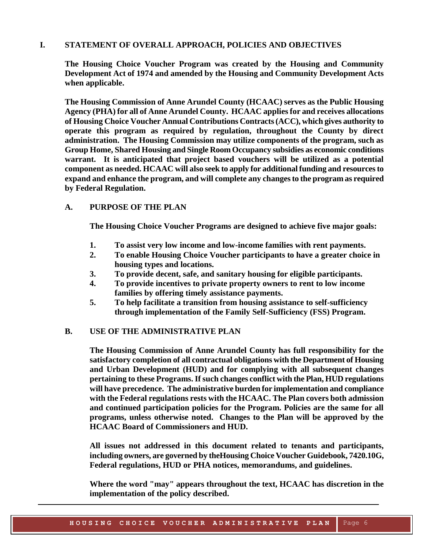## <span id="page-3-0"></span>**I. STATEMENT OF OVERALL APPROACH, POLICIES AND OBJECTIVES**

**The Housing Choice Voucher Program was created by the Housing and Community Development Act of 1974 and amended by the Housing and Community Development Acts when applicable.**

**The Housing Commission of Anne Arundel County (HCAAC) serves as the Public Housing Agency (PHA) for all of Anne Arundel County. HCAAC applies for and receives allocations of Housing Choice Voucher Annual Contributions Contracts (ACC), which gives authority to operate this program as required by regulation, throughout the County by direct administration. The Housing Commission may utilize components of the program, such as Group Home, Shared Housing and Single Room Occupancy subsidies as economic conditions warrant. It is anticipated that project based vouchers will be utilized as a potential component as needed. HCAAC will also seek to apply for additional funding and resources to expand and enhance the program, and will complete any changes to the program as required by Federal Regulation.**

## <span id="page-3-1"></span>**A. PURPOSE OF THE PLAN**

**The Housing Choice Voucher Programs are designed to achieve five major goals:**

- **1. To assist very low income and low-income families with rent payments.**
- **2. To enable Housing Choice Voucher participants to have a greater choice in housing types and locations.**
- **3. To provide decent, safe, and sanitary housing for eligible participants.**
- **4. To provide incentives to private property owners to rent to low income families by offering timely assistance payments.**
- **5. To help facilitate a transition from housing assistance to self-sufficiency through implementation of the Family Self-Sufficiency (FSS) Program.**

## <span id="page-3-2"></span>**B. USE OF THE ADMINISTRATIVE PLAN**

**The Housing Commission of Anne Arundel County has full responsibility for the satisfactory completion of all contractual obligations with the Department of Housing and Urban Development (HUD) and for complying with all subsequent changes pertaining to these Programs. If such changes conflict with the Plan, HUD regulations will have precedence. The administrative burden for implementation and compliance with the Federal regulations rests with the HCAAC. The Plan covers both admission and continued participation policies for the Program. Policies are the same for all programs, unless otherwise noted. Changes to the Plan will be approved by the HCAAC Board of Commissioners and HUD.**

**All issues not addressed in this document related to tenants and participants, including owners, are governed by theHousing Choice Voucher Guidebook, 7420.10G, Federal regulations, HUD or PHA notices, memorandums, and guidelines.** 

**Where the word "may" appears throughout the text, HCAAC has discretion in the implementation of the policy described.**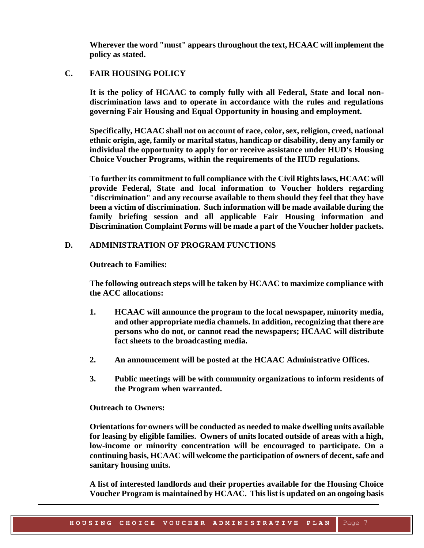**Wherever the word "must" appears throughout the text, HCAAC will implement the policy as stated.**

## <span id="page-4-0"></span>**C. FAIR HOUSING POLICY**

**It is the policy of HCAAC to comply fully with all Federal, State and local nondiscrimination laws and to operate in accordance with the rules and regulations governing Fair Housing and Equal Opportunity in housing and employment.** 

**Specifically, HCAAC shall not on account of race, color, sex, religion, creed, national ethnic origin, age, family or marital status, handicap or disability, deny any family or individual the opportunity to apply for or receive assistance under HUD's Housing Choice Voucher Programs, within the requirements of the HUD regulations.**

**To further its commitment to full compliance with the Civil Rights laws, HCAAC will provide Federal, State and local information to Voucher holders regarding "discrimination" and any recourse available to them should they feel that they have been a victim of discrimination. Such information will be made available during the family briefing session and all applicable Fair Housing information and Discrimination Complaint Forms will be made a part of the Voucher holder packets.**

## <span id="page-4-1"></span>**D. ADMINISTRATION OF PROGRAM FUNCTIONS**

**Outreach to Families:**

**The following outreach steps will be taken by HCAAC to maximize compliance with the ACC allocations:** 

- **1. HCAAC will announce the program to the local newspaper, minority media, and other appropriate media channels. In addition, recognizing that there are persons who do not, or cannot read the newspapers; HCAAC will distribute fact sheets to the broadcasting media.**
- **2. An announcement will be posted at the HCAAC Administrative Offices.**
- **3. Public meetings will be with community organizations to inform residents of the Program when warranted.**

**Outreach to Owners:**

**Orientations for owners will be conducted as needed to make dwelling units available for leasing by eligible families. Owners of units located outside of areas with a high, low-income or minority concentration will be encouraged to participate. On a continuing basis, HCAAC will welcome the participation of owners of decent, safe and sanitary housing units.**

**A list of interested landlords and their properties available for the Housing Choice Voucher Program is maintained by HCAAC. This list is updated on an ongoing basis**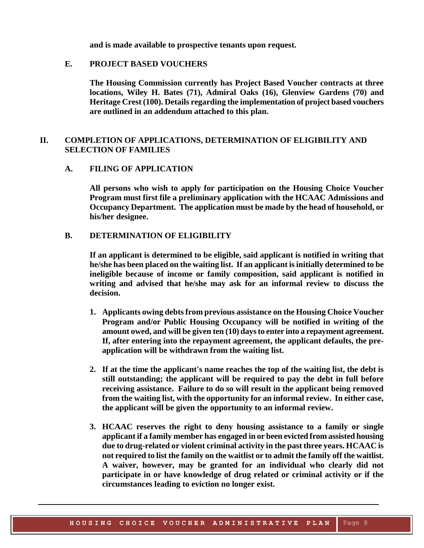**and is made available to prospective tenants upon request.**

#### **E. PROJECT BASED VOUCHERS**

**The Housing Commission currently has Project Based Voucher contracts at three locations, Wiley H. Bates (71), Admiral Oaks (16), Glenview Gardens (70) and Heritage Crest (100). Details regarding the implementation of project based vouchers are outlined in an addendum attached to this plan.**

## <span id="page-5-0"></span>**II. COMPLETION OF APPLICATIONS, DETERMINATION OF ELIGIBILITY AND SELECTION OF FAMILIES**

#### **A. FILING OF APPLICATION**

**All persons who wish to apply for participation on the Housing Choice Voucher Program must first file a preliminary application with the HCAAC Admissions and Occupancy Department. The application must be made by the head of household, or his/her designee.**

#### <span id="page-5-1"></span>**B. DETERMINATION OF ELIGIBILITY**

**If an applicant is determined to be eligible, said applicant is notified in writing that he/she has been placed on the waiting list. If an applicant is initially determined to be ineligible because of income or family composition, said applicant is notified in writing and advised that he/she may ask for an informal review to discuss the decision.**

- **1. Applicants owing debts from previous assistance on the Housing Choice Voucher Program and/or Public Housing Occupancy will be notified in writing of the amount owed, and will be given ten (10) days to enter into a repayment agreement. If, after entering into the repayment agreement, the applicant defaults, the pre application will be withdrawn from the waiting list.**
- **2. If at the time the applicant's name reaches the top of the waiting list, the debt is still outstanding; the applicant will be required to pay the debt in full before receiving assistance. Failure to do so will result in the applicant being removed from the waiting list, with the opportunity for an informal review. In either case, the applicant will be given the opportunity to an informal review.**
- **3. HCAAC reserves the right to deny housing assistance to a family or single applicant if a family member has engaged in or been evicted from assisted housing due to drug-related or violent criminal activity in the past three years. HCAAC is not required to list the family on the waitlist or to admit the family off the waitlist. A waiver, however, may be granted for an individual who clearly did not participate in or have knowledge of drug related or criminal activity or if the circumstances leading to eviction no longer exist.**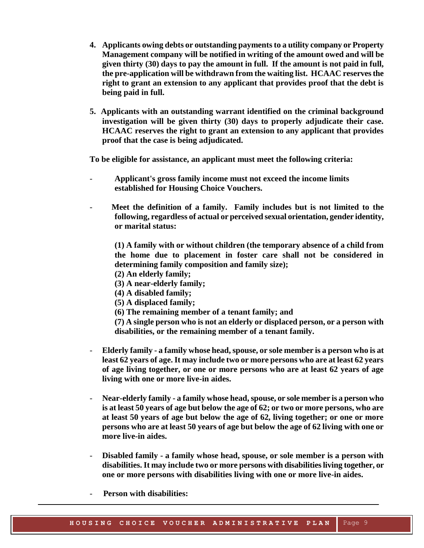- **4. Applicants owing debts or outstanding payments to a utility company or Property Management company will be notified in writing of the amount owed and will be given thirty (30) days to pay the amount in full. If the amount is not paid in full, the pre-application will be withdrawn from the waiting list. HCAAC reserves the right to grant an extension to any applicant that provides proof that the debt is being paid in full.**
- **5. Applicants with an outstanding warrant identified on the criminal background investigation will be given thirty (30) days to properly adjudicate their case. HCAAC reserves the right to grant an extension to any applicant that provides proof that the case is being adjudicated.**

**To be eligible for assistance, an applicant must meet the following criteria:**

- **Applicant's gross family income must not exceed the income limits established for Housing Choice Vouchers.**
- - **Meet the definition of a family. Family includes but is not limited to the following, regardless of actual or perceived sexual orientation, gender identity, or marital status:**

**(1) A family with or without children (the temporary absence of a child from the home due to placement in foster care shall not be considered in determining family composition and family size);**

- **(2) An elderly family;**
- **(3) A near-elderly family;**
- **(4) A disabled family;**
- **(5) A displaced family;**
- **(6) The remaining member of a tenant family; and**

**(7) A single person who is not an elderly or displaced person, or a person with disabilities, or the remaining member of a tenant family.**

- **Elderly family - a family whose head, spouse, or sole member is a person who is at least 62 years of age. It may include two or more persons who are at least 62 years of age living together, or one or more persons who are at least 62 years of age living with one or more live-in aides.**
- **Near-elderly family - a family whose head, spouse, or sole member is a person who is at least 50 years of age but below the age of 62; or two or more persons, who are at least 50 years of age but below the age of 62, living together; or one or more persons who are at least 50 years of age but below the age of 62 living with one or more live-in aides.**
- **Disabled family - a family whose head, spouse, or sole member is a person with disabilities. It may include two or more persons with disabilities living together, or one or more persons with disabilities living with one or more live-in aides.**
- **Person with disabilities:**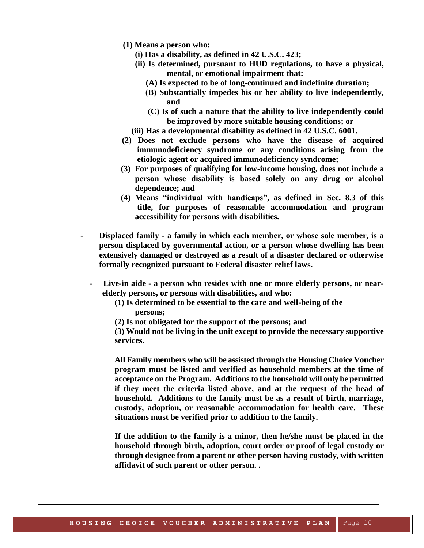- **(1) Means a person who:**
	- **(i) Has a disability, as defined in 42 U.S.C. 423;**
	- **(ii) Is determined, pursuant to HUD regulations, to have a physical, mental, or emotional impairment that:**
		- **(A) Is expected to be of long-continued and indefinite duration;**
		- **(B) Substantially impedes his or her ability to live independently, and**
		- **(C) Is of such a nature that the ability to live independently could be improved by more suitable housing conditions; or**
	- **(iii) Has a developmental disability as defined in 42 U.S.C. 6001.**
- **(2) Does not exclude persons who have the disease of acquired immunodeficiency syndrome or any conditions arising from the etiologic agent or acquired immunodeficiency syndrome;**
- **(3) For purposes of qualifying for low-income housing, does not include a person whose disability is based solely on any drug or alcohol dependence; and**
- **(4) Means "individual with handicaps", as defined in Sec. 8.3 of this title, for purposes of reasonable accommodation and program accessibility for persons with disabilities.**
- **Displaced family - a family in which each member, or whose sole member, is a person displaced by governmental action, or a person whose dwelling has been extensively damaged or destroyed as a result of a disaster declared or otherwise formally recognized pursuant to Federal disaster relief laws.**
	- **Live-in aide - a person who resides with one or more elderly persons, or nearelderly persons, or persons with disabilities, and who:**
		- **(1) Is determined to be essential to the care and well-being of the persons;**
		- **(2) Is not obligated for the support of the persons; and**

**(3) Would not be living in the unit except to provide the necessary supportive services**.

**All Family members who will be assisted through the Housing Choice Voucher program must be listed and verified as household members at the time of acceptance on the Program. Additions to the household will only be permitted if they meet the criteria listed above, and at the request of the head of household. Additions to the family must be as a result of birth, marriage, custody, adoption, or reasonable accommodation for health care. These situations must be verified prior to addition to the family.**

**If the addition to the family is a minor, then he/she must be placed in the household through birth, adoption, court order or proof of legal custody or through designee from a parent or other person having custody, with written affidavit of such parent or other person. .**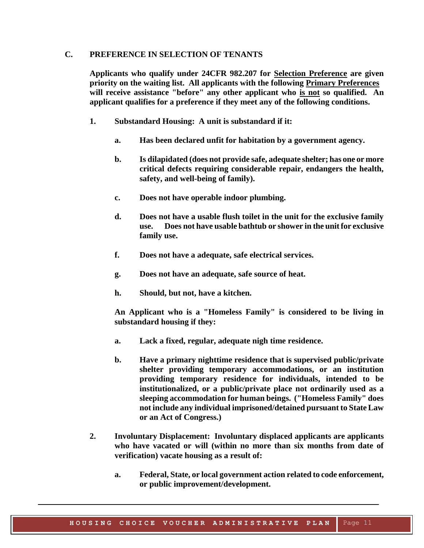## <span id="page-8-0"></span>**C. PREFERENCE IN SELECTION OF TENANTS**

**Applicants who qualify under 24CFR 982.207 for Selection Preference are given priority on the waiting list. All applicants with the following Primary Preferences will receive assistance "before" any other applicant who is not so qualified. An applicant qualifies for a preference if they meet any of the following conditions.**

- **1. Substandard Housing: A unit is substandard if it:**
	- **a. Has been declared unfit for habitation by a government agency.**
	- **b. Is dilapidated (does not provide safe, adequate shelter; has one or more critical defects requiring considerable repair, endangers the health, safety, and well-being of family).**
	- **c. Does not have operable indoor plumbing.**
	- **d. Does not have a usable flush toilet in the unit for the exclusive family use. Does not have usable bathtub or shower in the unit for exclusive family use.**
	- **f. Does not have a adequate, safe electrical services.**
	- **g. Does not have an adequate, safe source of heat.**
	- **h. Should, but not, have a kitchen.**

**An Applicant who is a "Homeless Family" is considered to be living in substandard housing if they:**

- **a. Lack a fixed, regular, adequate nigh time residence.**
- **b. Have a primary nighttime residence that is supervised public/private shelter providing temporary accommodations, or an institution providing temporary residence for individuals, intended to be institutionalized, or a public/private place not ordinarily used as a sleeping accommodation for human beings. ("Homeless Family" does not include any individual imprisoned/detained pursuant to State Law or an Act of Congress.)**
- **2. Involuntary Displacement: Involuntary displaced applicants are applicants who have vacated or will (within no more than six months from date of verification) vacate housing as a result of:**
	- **a. Federal, State, or local government action related to code enforcement, or public improvement/development.**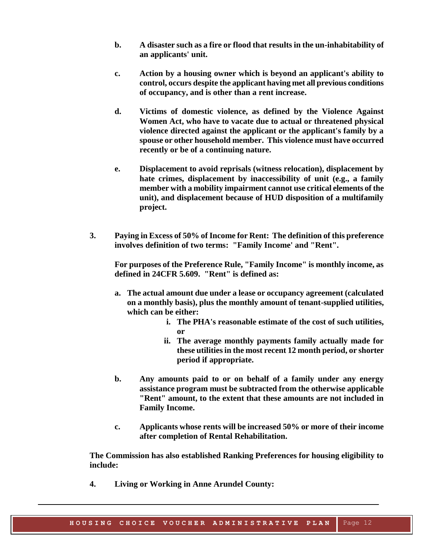- **b. A disaster such as a fire or flood that results in the un-inhabitability of an applicants' unit.**
- **c. Action by a housing owner which is beyond an applicant's ability to control, occurs despite the applicant having met all previous conditions of occupancy, and is other than a rent increase.**
- **d. Victims of domestic violence, as defined by the Violence Against Women Act, who have to vacate due to actual or threatened physical violence directed against the applicant or the applicant's family by a spouse or other household member. This violence must have occurred recently or be of a continuing nature.**
- **e. Displacement to avoid reprisals (witness relocation), displacement by hate crimes, displacement by inaccessibility of unit (e.g., a family member with a mobility impairment cannot use critical elements of the unit), and displacement because of HUD disposition of a multifamily project.**
- **3. Paying in Excess of 50% of Income for Rent: The definition of this preference involves definition of two terms: "Family Income' and "Rent".**

**For purposes of the Preference Rule, "Family Income" is monthly income, as defined in 24CFR 5.609. "Rent" is defined as:**

- **a. The actual amount due under a lease or occupancy agreement (calculated on a monthly basis), plus the monthly amount of tenant-supplied utilities, which can be either:**
	- **i. The PHA's reasonable estimate of the cost of such utilities, or**
	- **ii. The average monthly payments family actually made for these utilities in the most recent 12 month period, or shorter period if appropriate.**
- **b. Any amounts paid to or on behalf of a family under any energy assistance program must be subtracted from the otherwise applicable "Rent" amount, to the extent that these amounts are not included in Family Income.**
- **c. Applicants whose rents will be increased 50% or more of their income after completion of Rental Rehabilitation.**

**The Commission has also established Ranking Preferences for housing eligibility to include:**

**4. Living or Working in Anne Arundel County:**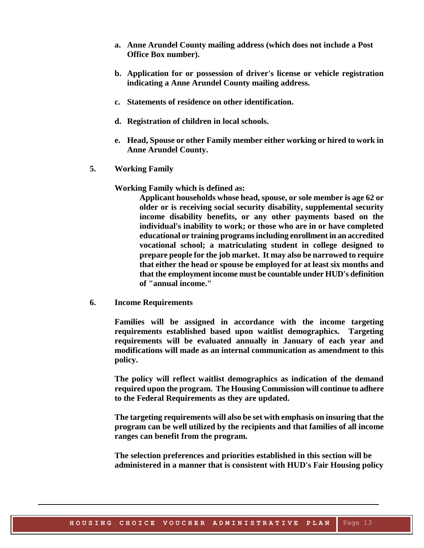- **a. Anne Arundel County mailing address (which does not include a Post Office Box number).**
- **b. Application for or possession of driver's license or vehicle registration indicating a Anne Arundel County mailing address.**
- **c. Statements of residence on other identification.**
- **d. Registration of children in local schools.**
- **e. Head, Spouse or other Family member either working or hired to work in Anne Arundel County.**
- **5. Working Family**

**Working Family which is defined as:**

**Applicant households whose head, spouse, or sole member is age 62 or older or is receiving social security disability, supplemental security income disability benefits, or any other payments based on the individual's inability to work; or those who are in or have completed educational or training programs including enrollment in an accredited vocational school; a matriculating student in college designed to prepare people for the job market. It may also be narrowed to require that either the head or spouse be employed for at least six months and that the employment income must be countable under HUD's definition of "annual income."**

**6. Income Requirements**

**Families will be assigned in accordance with the income targeting requirements established based upon waitlist demographics. Targeting requirements will be evaluated annually in January of each year and modifications will made as an internal communication as amendment to this policy.**

**The policy will reflect waitlist demographics as indication of the demand required upon the program. The Housing Commission will continue to adhere to the Federal Requirements as they are updated.**

**The targeting requirements will also be set with emphasis on insuring that the program can be well utilized by the recipients and that families of all income ranges can benefit from the program.**

**The selection preferences and priorities established in this section will be administered in a manner that is consistent with HUD's Fair Housing policy**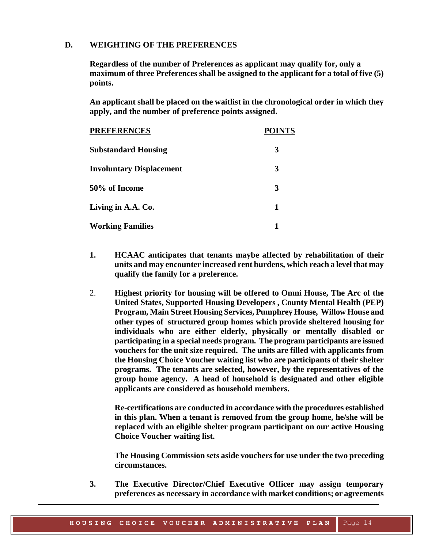#### <span id="page-11-0"></span>**D. WEIGHTING OF THE PREFERENCES**

**Regardless of the number of Preferences as applicant may qualify for, only a maximum of three Preferences shall be assigned to the applicant for a total of five (5) points.** 

**An applicant shall be placed on the waitlist in the chronological order in which they apply, and the number of preference points assigned.**

| <b>PREFERENCES</b>              | <b>POINTS</b> |
|---------------------------------|---------------|
| <b>Substandard Housing</b>      | 3             |
| <b>Involuntary Displacement</b> | 3             |
| 50% of Income                   | 3             |
| Living in A.A. Co.              | 1             |
| <b>Working Families</b>         |               |

- **1. HCAAC anticipates that tenants maybe affected by rehabilitation of their units and may encounter increased rent burdens, which reach a level that may qualify the family for a preference.**
- 2. **Highest priority for housing will be offered to Omni House, The Arc of the United States, Supported Housing Developers , County Mental Health (PEP) Program, Main Street Housing Services, Pumphrey House, Willow House and other types of structured group homes which provide sheltered housing for individuals who are either elderly, physically or mentally disabled or participating in a special needs program. The program participants are issued vouchers for the unit size required. The units are filled with applicants from the Housing Choice Voucher waiting list who are participants of their shelter programs. The tenants are selected, however, by the representatives of the group home agency. A head of household is designated and other eligible applicants are considered as household members.**

**Re-certifications are conducted in accordance with the procedures established in this plan. When a tenant is removed from the group home, he/she will be replaced with an eligible shelter program participant on our active Housing Choice Voucher waiting list.**

**The Housing Commission sets aside vouchers for use under the two preceding circumstances.** 

**3. The Executive Director/Chief Executive Officer may assign temporary preferences as necessary in accordance with market conditions; or agreements**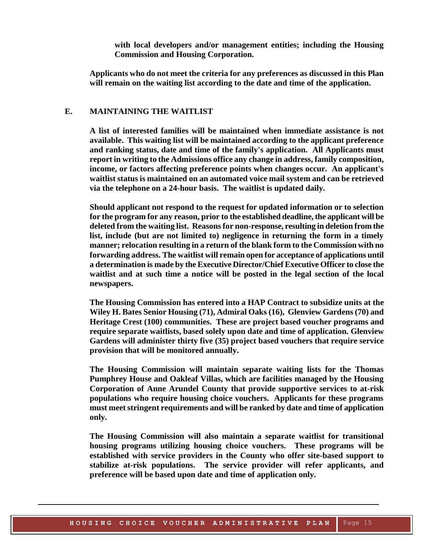**with local developers and/or management entities; including the Housing Commission and Housing Corporation.**

**Applicants who do not meet the criteria for any preferences as discussed in this Plan will remain on the waiting list according to the date and time of the application.** 

#### <span id="page-12-0"></span>**E. MAINTAINING THE WAITLIST**

**A list of interested families will be maintained when immediate assistance is not available. This waiting list will be maintained according to the applicant preference and ranking status, date and time of the family's application. All Applicants must report in writing to the Admissions office any change in address, family composition, income, or factors affecting preference points when changes occur. An applicant's waitlist status is maintained on an automated voice mail system and can be retrieved via the telephone on a 24-hour basis. The waitlist is updated daily.**

**Should applicant not respond to the request for updated information or to selection for the program for any reason, prior to the established deadline, the applicant will be deleted from the waiting list. Reasons for non-response, resulting in deletion from the list, include (but are not limited to) negligence in returning the form in a timely manner; relocation resulting in a return of the blank form to the Commission with no forwarding address. The waitlist will remain open for acceptance of applications until a determination is made by the Executive Director/Chief Executive Officer to close the waitlist and at such time a notice will be posted in the legal section of the local newspapers.**

**The Housing Commission has entered into a HAP Contract to subsidize units at the Wiley H. Bates Senior Housing (71), Admiral Oaks (16), Glenview Gardens (70) and Heritage Crest (100) communities. These are project based voucher programs and require separate waitlists, based solely upon date and time of application. Glenview Gardens will administer thirty five (35) project based vouchers that require service provision that will be monitored annually.**

**The Housing Commission will maintain separate waiting lists for the Thomas Pumphrey House and Oakleaf Villas, which are facilities managed by the Housing Corporation of Anne Arundel County that provide supportive services to at-risk populations who require housing choice vouchers. Applicants for these programs must meet stringent requirements and will be ranked by date and time of application only.**

**The Housing Commission will also maintain a separate waitlist for transitional housing programs utilizing housing choice vouchers. These programs will be established with service providers in the County who offer site-based support to stabilize at-risk populations. The service provider will refer applicants, and preference will be based upon date and time of application only.**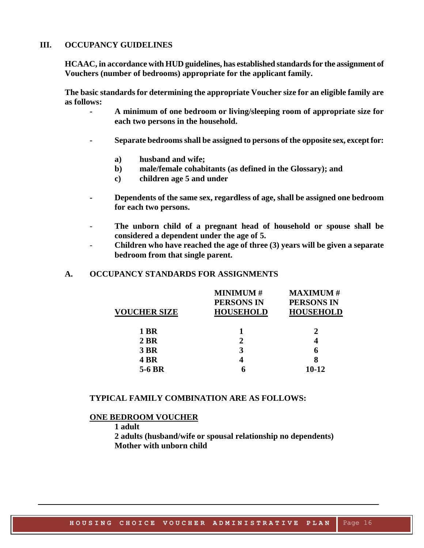## <span id="page-13-0"></span>**III. OCCUPANCY GUIDELINES**

**HCAAC, in accordance with HUD guidelines, has established standards for the assignment of Vouchers (number of bedrooms) appropriate for the applicant family.**

**The basic standards for determining the appropriate Voucher size for an eligible family are as follows:**

- **- A minimum of one bedroom or living/sleeping room of appropriate size for each two persons in the household.**
- **- Separate bedrooms shall be assigned to persons of the opposite sex, except for:**
	- **a) husband and wife;**
	- **b) male/female cohabitants (as defined in the Glossary); and**
	- **c) children age 5 and under**
- **- Dependents of the same sex, regardless of age, shall be assigned one bedroom for each two persons.**
- **The unborn child of a pregnant head of household or spouse shall be considered a dependent under the age of 5.**
- **Children who have reached the age of three (3) years will be given a separate bedroom from that single parent.**

## <span id="page-13-1"></span>**A. OCCUPANCY STANDARDS FOR ASSIGNMENTS**

|                     | <b>MINIMUM#</b>   | <b>MAXIMUM#</b>   |
|---------------------|-------------------|-------------------|
|                     | <b>PERSONS IN</b> | <b>PERSONS IN</b> |
| <b>VOUCHER SIZE</b> | <b>HOUSEHOLD</b>  | <b>HOUSEHOLD</b>  |
|                     |                   |                   |
| 1 BR                |                   | 2                 |
| 2 BR                | $\mathbf 2$       | 4                 |
| <b>3 BR</b>         | 3                 | 6                 |
| <b>4 BR</b>         |                   | 8                 |
| 5-6 BR              |                   | $10 - 12$         |
|                     |                   |                   |

## **TYPICAL FAMILY COMBINATION ARE AS FOLLOWS:**

#### **ONE BEDROOM VOUCHER**

**1 adult**

**2 adults (husband/wife or spousal relationship no dependents) Mother with unborn child**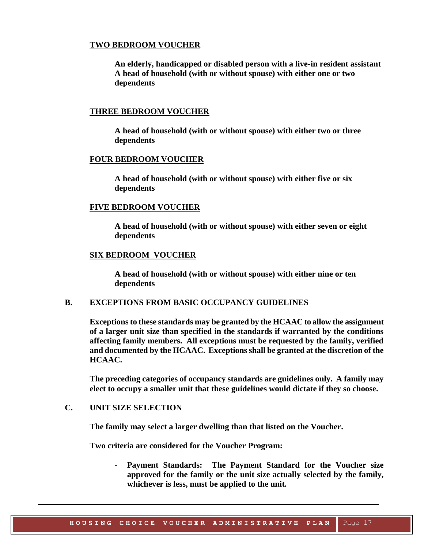#### **TWO BEDROOM VOUCHER**

**An elderly, handicapped or disabled person with a live-in resident assistant A head of household (with or without spouse) with either one or two dependents**

#### **THREE BEDROOM VOUCHER**

**A head of household (with or without spouse) with either two or three dependents**

#### **FOUR BEDROOM VOUCHER**

**A head of household (with or without spouse) with either five or six dependents**

#### **FIVE BEDROOM VOUCHER**

**A head of household (with or without spouse) with either seven or eight dependents**

#### **SIX BEDROOM VOUCHER**

**A head of household (with or without spouse) with either nine or ten dependents**

#### **B. EXCEPTIONS FROM BASIC OCCUPANCY GUIDELINES**

<span id="page-14-0"></span>**Exceptions to these standards may be granted by the HCAAC to allow the assignment of a larger unit size than specified in the standards if warranted by the conditions affecting family members. All exceptions must be requested by the family, verified and documented by the HCAAC. Exceptions shall be granted at the discretion of the HCAAC.**

**The preceding categories of occupancy standards are guidelines only. A family may elect to occupy a smaller unit that these guidelines would dictate if they so choose.**

## **C. UNIT SIZE SELECTION**

<span id="page-14-1"></span>**The family may select a larger dwelling than that listed on the Voucher.**

**Two criteria are considered for the Voucher Program:**

- **Payment Standards: The Payment Standard for the Voucher size approved for the family or the unit size actually selected by the family, whichever is less, must be applied to the unit.**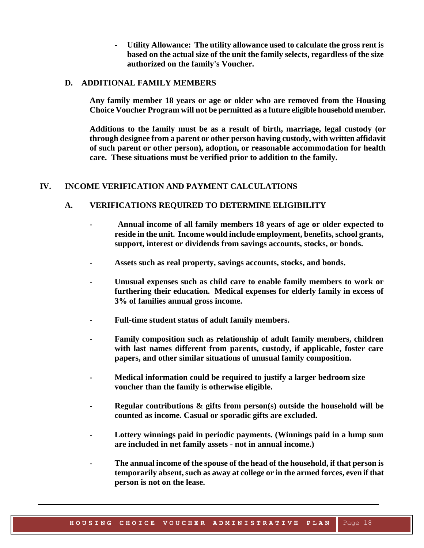- **Utility Allowance: The utility allowance used to calculate the gross rent is based on the actual size of the unit the family selects, regardless of the size authorized on the family's Voucher.**

#### **D. ADDITIONAL FAMILY MEMBERS**

**Any family member 18 years or age or older who are removed from the Housing Choice Voucher Program will not be permitted as a future eligible household member.**

**Additions to the family must be as a result of birth, marriage, legal custody (or through designee from a parent or other person having custody, with written affidavit of such parent or other person), adoption, or reasonable accommodation for health care. These situations must be verified prior to addition to the family.**

## <span id="page-15-1"></span><span id="page-15-0"></span>**IV. INCOME VERIFICATION AND PAYMENT CALCULATIONS**

## **A. VERIFICATIONS REQUIRED TO DETERMINE ELIGIBILITY**

- **- Annual income of all family members 18 years of age or older expected to reside in the unit. Income would include employment, benefits, school grants, support, interest or dividends from savings accounts, stocks, or bonds.**
- **- Assets such as real property, savings accounts, stocks, and bonds.**
- **- Unusual expenses such as child care to enable family members to work or furthering their education. Medical expenses for elderly family in excess of 3% of families annual gross income.**
- **- Full-time student status of adult family members.**
- **- Family composition such as relationship of adult family members, children with last names different from parents, custody, if applicable, foster care papers, and other similar situations of unusual family composition.**
- **- Medical information could be required to justify a larger bedroom size voucher than the family is otherwise eligible.**
- **- Regular contributions & gifts from person(s) outside the household will be counted as income. Casual or sporadic gifts are excluded.**
- **- Lottery winnings paid in periodic payments. (Winnings paid in a lump sum are included in net family assets - not in annual income.)**
- **- The annual income of the spouse of the head of the household, if that person is temporarily absent, such as away at college or in the armed forces, even if that person is not on the lease.**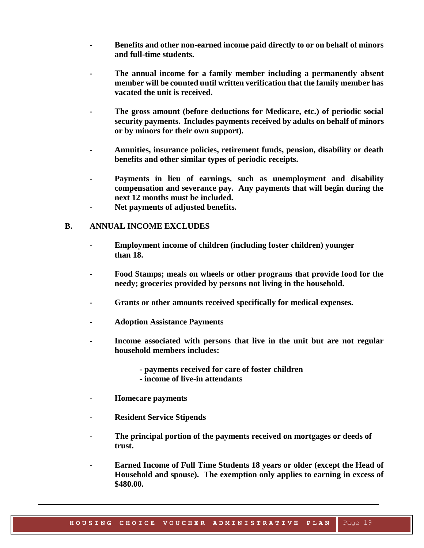- **- Benefits and other non-earned income paid directly to or on behalf of minors and full-time students.**
- **- The annual income for a family member including a permanently absent member will be counted until written verification that the family member has vacated the unit is received.**
- **- The gross amount (before deductions for Medicare, etc.) of periodic social security payments. Includes payments received by adults on behalf of minors or by minors for their own support).**
- **- Annuities, insurance policies, retirement funds, pension, disability or death benefits and other similar types of periodic receipts.**
- **- Payments in lieu of earnings, such as unemployment and disability compensation and severance pay. Any payments that will begin during the next 12 months must be included.**
- **- Net payments of adjusted benefits.**

## <span id="page-16-0"></span>**B. ANNUAL INCOME EXCLUDES**

- **- Employment income of children (including foster children) younger than 18.**
- **- Food Stamps; meals on wheels or other programs that provide food for the needy; groceries provided by persons not living in the household.**
- **- Grants or other amounts received specifically for medical expenses.**
- **- Adoption Assistance Payments**
- **- Income associated with persons that live in the unit but are not regular household members includes:**
	- **- payments received for care of foster children**
	- **- income of live-in attendants**
- **- Homecare payments**
- **- Resident Service Stipends**
- **- The principal portion of the payments received on mortgages or deeds of trust.**
- **- Earned Income of Full Time Students 18 years or older (except the Head of Household and spouse). The exemption only applies to earning in excess of \$480.00.**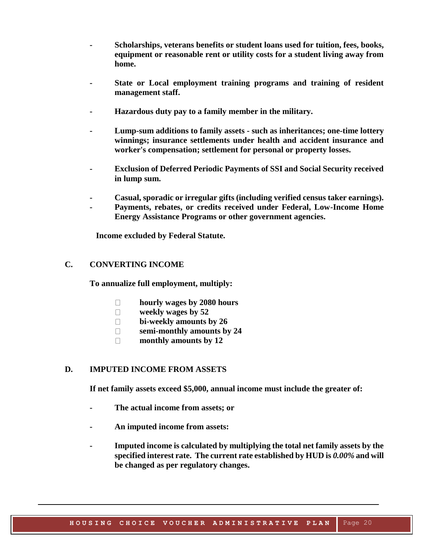- **- Scholarships, veterans benefits or student loans used for tuition, fees, books, equipment or reasonable rent or utility costs for a student living away from home.**
- **- State or Local employment training programs and training of resident management staff.**
- **- Hazardous duty pay to a family member in the military.**
- **- Lump-sum additions to family assets - such as inheritances; one-time lottery winnings; insurance settlements under health and accident insurance and worker's compensation; settlement for personal or property losses.**
- **- Exclusion of Deferred Periodic Payments of SSI and Social Security received in lump sum.**
- **- Casual, sporadic or irregular gifts (including verified census taker earnings).**
- **- Payments, rebates, or credits received under Federal, Low-Income Home Energy Assistance Programs or other government agencies.**

 **Income excluded by Federal Statute.**

## <span id="page-17-0"></span>**C. CONVERTING INCOME**

**To annualize full employment, multiply:**

- $\Box$ **hourly wages by 2080 hours**
- $\Box$ **weekly wages by 52**
- $\Box$ **bi-weekly amounts by 26**
- **semi-monthly amounts by 24**  $\Box$
- **monthly amounts by 12**  $\Box$

## <span id="page-17-1"></span>**D. IMPUTED INCOME FROM ASSETS**

**If net family assets exceed \$5,000, annual income must include the greater of:**

- **- The actual income from assets; or**
- **- An imputed income from assets:**
- **- Imputed income is calculated by multiplying the total net family assets by the specified interest rate. The current rate established by HUD is** *0.00%* **and will be changed as per regulatory changes.**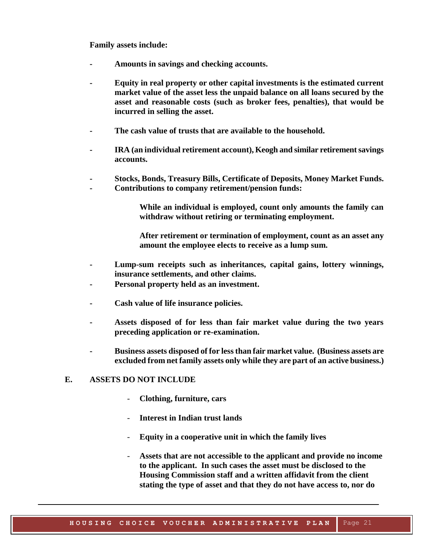**Family assets include:**

- **- Amounts in savings and checking accounts.**
- **- Equity in real property or other capital investments is the estimated current market value of the asset less the unpaid balance on all loans secured by the asset and reasonable costs (such as broker fees, penalties), that would be incurred in selling the asset.**
- **- The cash value of trusts that are available to the household.**
- **- IRA (an individual retirement account), Keogh and similar retirement savings accounts.**
- **- Stocks, Bonds, Treasury Bills, Certificate of Deposits, Money Market Funds.**
- **- Contributions to company retirement/pension funds:**

**While an individual is employed, count only amounts the family can withdraw without retiring or terminating employment.**

**After retirement or termination of employment, count as an asset any amount the employee elects to receive as a lump sum.**

- **- Lump-sum receipts such as inheritances, capital gains, lottery winnings, insurance settlements, and other claims.**
- **- Personal property held as an investment.**
- **- Cash value of life insurance policies.**
- **- Assets disposed of for less than fair market value during the two years preceding application or re-examination.**
- **- Business assets disposed of for less than fair market value. (Business assets are excluded from net family assets only while they are part of an active business.)**

## <span id="page-18-0"></span>**E. ASSETS DO NOT INCLUDE**

- **Clothing, furniture, cars**
- **Interest in Indian trust lands**
- **Equity in a cooperative unit in which the family lives**
- **Assets that are not accessible to the applicant and provide no income to the applicant. In such cases the asset must be disclosed to the Housing Commission staff and a written affidavit from the client stating the type of asset and that they do not have access to, nor do**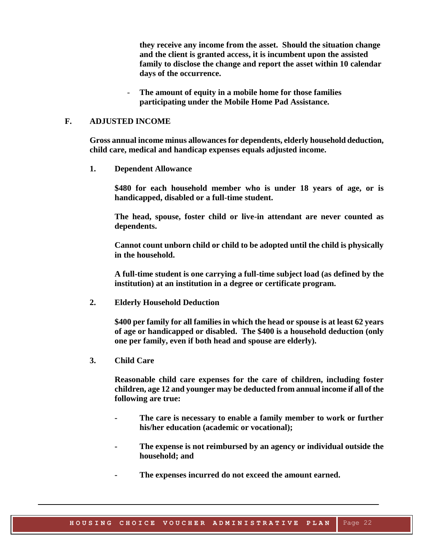**they receive any income from the asset. Should the situation change and the client is granted access, it is incumbent upon the assisted family to disclose the change and report the asset within 10 calendar days of the occurrence.**

The amount of equity in a mobile home for those families **participating under the Mobile Home Pad Assistance.**

#### <span id="page-19-0"></span>**F. ADJUSTED INCOME**

**Gross annual income minus allowances for dependents, elderly household deduction, child care, medical and handicap expenses equals adjusted income.**

**1. Dependent Allowance**

**\$480 for each household member who is under 18 years of age, or is handicapped, disabled or a full-time student.**

**The head, spouse, foster child or live-in attendant are never counted as dependents.**

**Cannot count unborn child or child to be adopted until the child is physically in the household.**

**A full-time student is one carrying a full-time subject load (as defined by the institution) at an institution in a degree or certificate program.** 

**2. Elderly Household Deduction**

**\$400 per family for all families in which the head or spouse is at least 62 years of age or handicapped or disabled. The \$400 is a household deduction (only one per family, even if both head and spouse are elderly).**

**3. Child Care**

**Reasonable child care expenses for the care of children, including foster children, age 12 and younger may be deducted from annual income if all of the following are true:**

- **- The care is necessary to enable a family member to work or further his/her education (academic or vocational);**
- **- The expense is not reimbursed by an agency or individual outside the household; and**
- **- The expenses incurred do not exceed the amount earned.**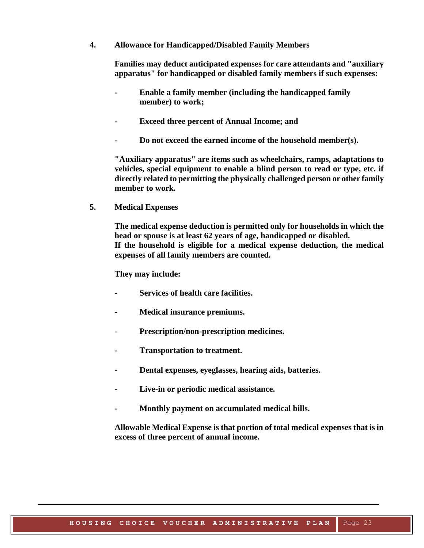**4. Allowance for Handicapped/Disabled Family Members**

**Families may deduct anticipated expenses for care attendants and "auxiliary apparatus" for handicapped or disabled family members if such expenses:**

- **- Enable a family member (including the handicapped family member) to work;**
- **- Exceed three percent of Annual Income; and**
- **- Do not exceed the earned income of the household member(s).**

**"Auxiliary apparatus" are items such as wheelchairs, ramps, adaptations to vehicles, special equipment to enable a blind person to read or type, etc. if directly related to permitting the physically challenged person or other family member to work.**

**5. Medical Expenses**

**The medical expense deduction is permitted only for households in which the head or spouse is at least 62 years of age, handicapped or disabled. If the household is eligible for a medical expense deduction, the medical expenses of all family members are counted.**

**They may include:**

- **- Services of health care facilities.**
- **- Medical insurance premiums.**
- **Prescription/non-prescription medicines.**
- **- Transportation to treatment.**
- **- Dental expenses, eyeglasses, hearing aids, batteries.**
- **- Live-in or periodic medical assistance.**
- **- Monthly payment on accumulated medical bills.**

**Allowable Medical Expense is that portion of total medical expenses that is in excess of three percent of annual income.**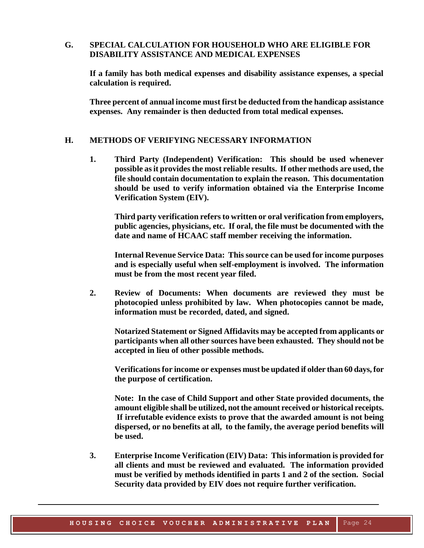## <span id="page-21-0"></span>**G. SPECIAL CALCULATION FOR HOUSEHOLD WHO ARE ELIGIBLE FOR DISABILITY ASSISTANCE AND MEDICAL EXPENSES**

**If a family has both medical expenses and disability assistance expenses, a special calculation is required.**

**Three percent of annual income must first be deducted from the handicap assistance expenses. Any remainder is then deducted from total medical expenses.**

#### <span id="page-21-1"></span>**H. METHODS OF VERIFYING NECESSARY INFORMATION**

**1. Third Party (Independent) Verification: This should be used whenever possible as it provides the most reliable results. If other methods are used, the file should contain documentation to explain the reason. This documentation should be used to verify information obtained via the Enterprise Income Verification System (EIV).**

**Third party verification refers to written or oral verification from employers, public agencies, physicians, etc. If oral, the file must be documented with the date and name of HCAAC staff member receiving the information.**

**Internal Revenue Service Data: This source can be used for income purposes and is especially useful when self-employment is involved. The information must be from the most recent year filed.**

**2. Review of Documents: When documents are reviewed they must be photocopied unless prohibited by law. When photocopies cannot be made, information must be recorded, dated, and signed.** 

**Notarized Statement or Signed Affidavits may be accepted from applicants or participants when all other sources have been exhausted. They should not be accepted in lieu of other possible methods.** 

**Verifications for income or expenses must be updated if older than 60 days, for the purpose of certification.**

**Note: In the case of Child Support and other State provided documents, the amount eligible shall be utilized, not the amount received or historical receipts. If irrefutable evidence exists to prove that the awarded amount is not being dispersed, or no benefits at all, to the family, the average period benefits will be used.**

**3. Enterprise Income Verification (EIV) Data: This information is provided for all clients and must be reviewed and evaluated. The information provided must be verified by methods identified in parts 1 and 2 of the section. Social Security data provided by EIV does not require further verification.**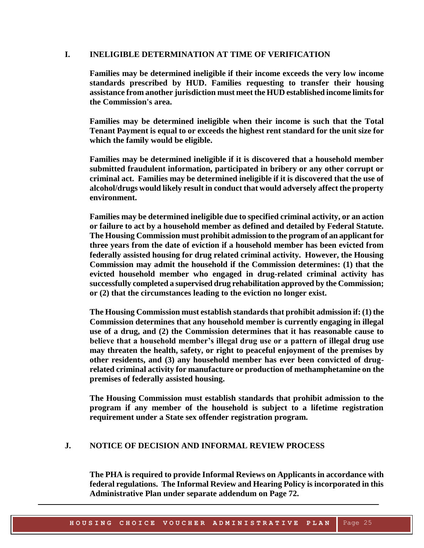## <span id="page-22-0"></span>**I. INELIGIBLE DETERMINATION AT TIME OF VERIFICATION**

**Families may be determined ineligible if their income exceeds the very low income standards prescribed by HUD. Families requesting to transfer their housing assistance from another jurisdiction must meet the HUD established income limits for the Commission's area.** 

**Families may be determined ineligible when their income is such that the Total Tenant Payment is equal to or exceeds the highest rent standard for the unit size for which the family would be eligible.**

**Families may be determined ineligible if it is discovered that a household member submitted fraudulent information, participated in bribery or any other corrupt or criminal act. Families may be determined ineligible if it is discovered that the use of alcohol/drugs would likely result in conduct that would adversely affect the property environment.**

**Families may be determined ineligible due to specified criminal activity, or an action or failure to act by a household member as defined and detailed by Federal Statute. The Housing Commission must prohibit admission to the program of an applicant for three years from the date of eviction if a household member has been evicted from federally assisted housing for drug related criminal activity. However, the Housing Commission may admit the household if the Commission determines: (1) that the evicted household member who engaged in drug-related criminal activity has successfully completed a supervised drug rehabilitation approved by the Commission; or (2) that the circumstances leading to the eviction no longer exist.**

**The Housing Commission must establish standards that prohibit admission if: (1) the Commission determines that any household member is currently engaging in illegal use of a drug, and (2) the Commission determines that it has reasonable cause to believe that a household member's illegal drug use or a pattern of illegal drug use may threaten the health, safety, or right to peaceful enjoyment of the premises by other residents, and (3) any household member has ever been convicted of drugrelated criminal activity for manufacture or production of methamphetamine on the premises of federally assisted housing.**

**The Housing Commission must establish standards that prohibit admission to the program if any member of the household is subject to a lifetime registration requirement under a State sex offender registration program.**

#### <span id="page-22-2"></span><span id="page-22-1"></span>**J. NOTICE OF DECISION AND INFORMAL REVIEW PROCESS**

**The PHA is required to provide Informal Reviews on Applicants in accordance with federal regulations. The Informal Review and Hearing Policy is incorporated in this Administrative Plan under separate addendum on Page 72.**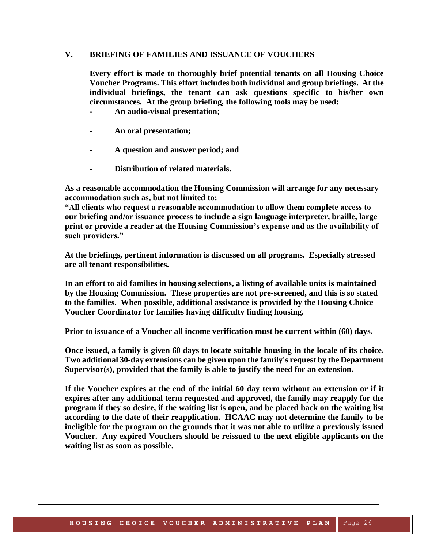#### **V. BRIEFING OF FAMILIES AND ISSUANCE OF VOUCHERS**

**Every effort is made to thoroughly brief potential tenants on all Housing Choice Voucher Programs. This effort includes both individual and group briefings. At the individual briefings, the tenant can ask questions specific to his/her own circumstances. At the group briefing, the following tools may be used:**

- **- An audio-visual presentation;**
- **- An oral presentation;**
- **- A question and answer period; and**
- **- Distribution of related materials.**

**As a reasonable accommodation the Housing Commission will arrange for any necessary accommodation such as, but not limited to:**

**"All clients who request a reasonable accommodation to allow them complete access to our briefing and/or issuance process to include a sign language interpreter, braille, large print or provide a reader at the Housing Commission's expense and as the availability of such providers."**

**At the briefings, pertinent information is discussed on all programs. Especially stressed are all tenant responsibilities.**

**In an effort to aid families in housing selections, a listing of available units is maintained by the Housing Commission. These properties are not pre-screened, and this is so stated to the families. When possible, additional assistance is provided by the Housing Choice Voucher Coordinator for families having difficulty finding housing.**

**Prior to issuance of a Voucher all income verification must be current within (60) days.**

**Once issued, a family is given 60 days to locate suitable housing in the locale of its choice. Two additional 30-day extensions can be given upon the family's request by the Department Supervisor(s), provided that the family is able to justify the need for an extension.**

**If the Voucher expires at the end of the initial 60 day term without an extension or if it expires after any additional term requested and approved, the family may reapply for the program if they so desire, if the waiting list is open, and be placed back on the waiting list according to the date of their reapplication. HCAAC may not determine the family to be ineligible for the program on the grounds that it was not able to utilize a previously issued Voucher. Any expired Vouchers should be reissued to the next eligible applicants on the waiting list as soon as possible.**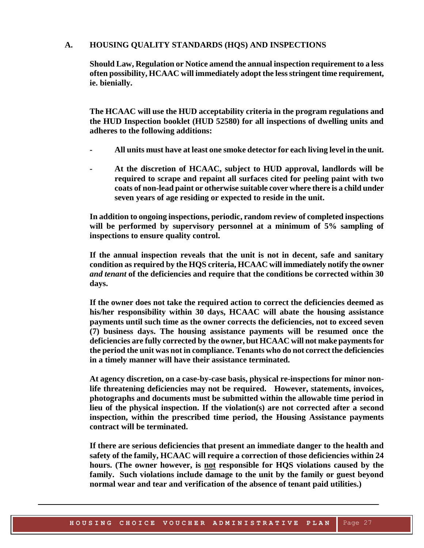#### <span id="page-24-0"></span>**A. HOUSING QUALITY STANDARDS (HQS) AND INSPECTIONS**

**Should Law, Regulation or Notice amend the annual inspection requirement to a less often possibility, HCAAC will immediately adopt the less stringent time requirement, ie. bienially.**

**The HCAAC will use the HUD acceptability criteria in the program regulations and the HUD Inspection booklet (HUD 52580) for all inspections of dwelling units and adheres to the following additions:**

- **- All units must have at least one smoke detector for each living level in the unit.**
- **- At the discretion of HCAAC, subject to HUD approval, landlords will be required to scrape and repaint all surfaces cited for peeling paint with two coats of non-lead paint or otherwise suitable cover where there is a child under seven years of age residing or expected to reside in the unit.**

**In addition to ongoing inspections, periodic, random review of completed inspections will be performed by supervisory personnel at a minimum of 5% sampling of inspections to ensure quality control.** 

**If the annual inspection reveals that the unit is not in decent, safe and sanitary condition as required by the HQS criteria, HCAAC will immediately notify the owner**  *and tenant* **of the deficiencies and require that the conditions be corrected within 30 days.**

**If the owner does not take the required action to correct the deficiencies deemed as his/her responsibility within 30 days, HCAAC will abate the housing assistance payments until such time as the owner corrects the deficiencies, not to exceed seven (7) business days. The housing assistance payments will be resumed once the deficiencies are fully corrected by the owner, but HCAAC will not make payments for the period the unit was not in compliance. Tenants who do not correct the deficiencies in a timely manner will have their assistance terminated***.*

**At agency discretion, on a case-by-case basis, physical re-inspections for minor nonlife threatening deficiencies may not be required. However, statements, invoices, photographs and documents must be submitted within the allowable time period in lieu of the physical inspection. If the violation(s) are not corrected after a second inspection, within the prescribed time period, the Housing Assistance payments contract will be terminated.**

**If there are serious deficiencies that present an immediate danger to the health and safety of the family, HCAAC will require a correction of those deficiencies within 24 hours. (The owner however, is not responsible for HQS violations caused by the family. Such violations include damage to the unit by the family or guest beyond normal wear and tear and verification of the absence of tenant paid utilities.)**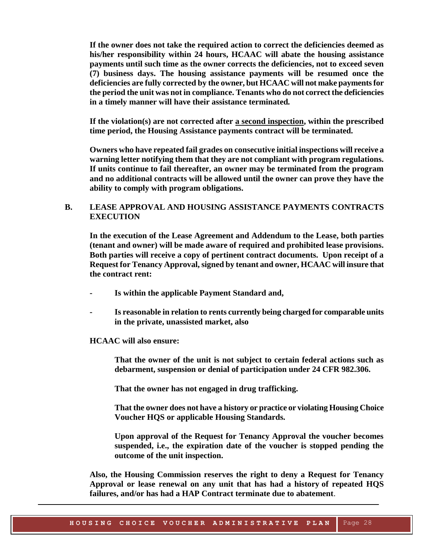**If the owner does not take the required action to correct the deficiencies deemed as his/her responsibility within 24 hours, HCAAC will abate the housing assistance payments until such time as the owner corrects the deficiencies, not to exceed seven (7) business days. The housing assistance payments will be resumed once the deficiencies are fully corrected by the owner, but HCAAC will not make payments for the period the unit was not in compliance. Tenants who do not correct the deficiencies in a timely manner will have their assistance terminated***.*

**If the violation(s) are not corrected after a second inspection, within the prescribed time period, the Housing Assistance payments contract will be terminated.**

**Owners who have repeated fail grades on consecutive initial inspections will receive a warning letter notifying them that they are not compliant with program regulations. If units continue to fail thereafter, an owner may be terminated from the program and no additional contracts will be allowed until the owner can prove they have the ability to comply with program obligations.**

## <span id="page-25-0"></span>**B. LEASE APPROVAL AND HOUSING ASSISTANCE PAYMENTS CONTRACTS EXECUTION**

**In the execution of the Lease Agreement and Addendum to the Lease, both parties (tenant and owner) will be made aware of required and prohibited lease provisions. Both parties will receive a copy of pertinent contract documents. Upon receipt of a Request for Tenancy Approval, signed by tenant and owner, HCAAC will insure that the contract rent:**

- **- Is within the applicable Payment Standard and,**
- **- Is reasonable in relation to rents currently being charged for comparable units in the private, unassisted market, also**

#### **HCAAC will also ensure:**

**That the owner of the unit is not subject to certain federal actions such as debarment, suspension or denial of participation under 24 CFR 982.306.**

**That the owner has not engaged in drug trafficking.**

**That the owner does not have a history or practice or violating Housing Choice Voucher HQS or applicable Housing Standards.**

**Upon approval of the Request for Tenancy Approval the voucher becomes suspended, i.e., the expiration date of the voucher is stopped pending the outcome of the unit inspection.**

**Also, the Housing Commission reserves the right to deny a Request for Tenancy Approval or lease renewal on any unit that has had a history of repeated HQS failures, and/or has had a HAP Contract terminate due to abatement**.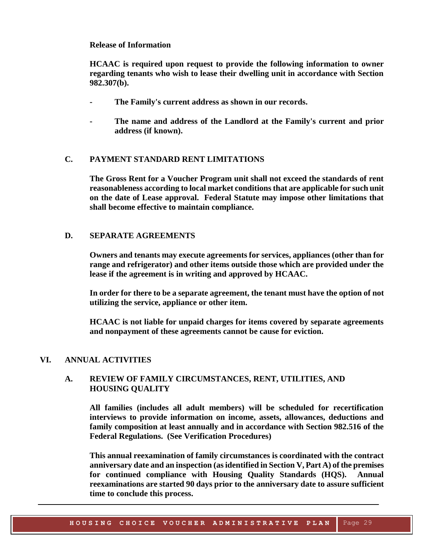## **Release of Information**

**HCAAC is required upon request to provide the following information to owner regarding tenants who wish to lease their dwelling unit in accordance with Section 982.307(b).**

- **- The Family's current address as shown in our records.**
- **- The name and address of the Landlord at the Family's current and prior address (if known).**

## <span id="page-26-0"></span>**C. PAYMENT STANDARD RENT LIMITATIONS**

**The Gross Rent for a Voucher Program unit shall not exceed the standards of rent reasonableness according to local market conditions that are applicable for such unit on the date of Lease approval. Federal Statute may impose other limitations that shall become effective to maintain compliance.**

## <span id="page-26-1"></span>**D. SEPARATE AGREEMENTS**

**Owners and tenants may execute agreements for services, appliances (other than for range and refrigerator) and other items outside those which are provided under the lease if the agreement is in writing and approved by HCAAC.**

**In order for there to be a separate agreement, the tenant must have the option of not utilizing the service, appliance or other item.**

**HCAAC is not liable for unpaid charges for items covered by separate agreements and nonpayment of these agreements cannot be cause for eviction.**

#### <span id="page-26-2"></span>**VI. ANNUAL ACTIVITIES**

## **A. REVIEW OF FAMILY CIRCUMSTANCES, RENT, UTILITIES, AND HOUSING QUALITY**

**All families (includes all adult members) will be scheduled for recertification interviews to provide information on income, assets, allowances, deductions and family composition at least annually and in accordance with Section 982.516 of the Federal Regulations. (See Verification Procedures)**

**This annual reexamination of family circumstances is coordinated with the contract anniversary date and an inspection (as identified in Section V, Part A) of the premises for continued compliance with Housing Quality Standards (HQS). Annual reexaminations are started 90 days prior to the anniversary date to assure sufficient time to conclude this process.**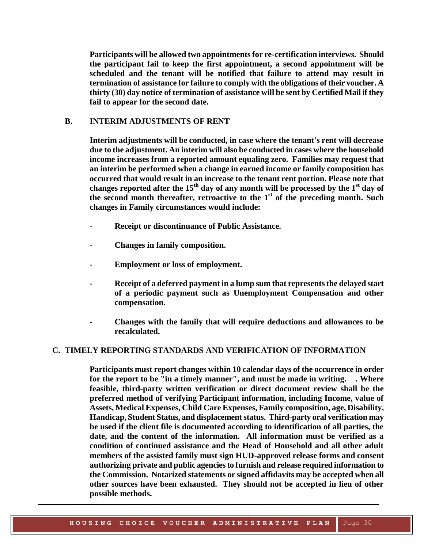**Participants will be allowed two appointments for re-certification interviews. Should the participant fail to keep the first appointment, a second appointment will be scheduled and the tenant will be notified that failure to attend may result in termination of assistance for failure to comply with the obligations of their voucher. A thirty (30) day notice of termination of assistance will be sent by Certified Mail if they fail to appear for the second date.** 

#### <span id="page-27-0"></span>**B. INTERIM ADJUSTMENTS OF RENT**

**Interim adjustments will be conducted, in case where the tenant's rent will decrease due to the adjustment. An interim will also be conducted in cases where the household income increases from a reported amount equaling zero. Families may request that an interim be performed when a change in earned income or family composition has occurred that would result in an increase to the tenant rent portion. Please note that changes reported after the 15th day of any month will be processed by the 1st day of the second month thereafter, retroactive to the 1st of the preceding month. Such changes in Family circumstances would include:**

- **- Receipt or discontinuance of Public Assistance.**
- **- Changes in family composition.**
- **- Employment or loss of employment.**
- **- Receipt of a deferred payment in a lump sum that represents the delayed start of a periodic payment such as Unemployment Compensation and other compensation.**
- **- Changes with the family that will require deductions and allowances to be recalculated.**

## <span id="page-27-1"></span> **C. TIMELY REPORTING STANDARDS AND VERIFICATION OF INFORMATION**

**Participants must report changes within 10 calendar days of the occurrence in order for the report to be "in a timely manner", and must be made in writing. . Where feasible, third-party written verification or direct document review shall be the preferred method of verifying Participant information, including Income, value of Assets, Medical Expenses, Child Care Expenses, Family composition, age, Disability, Handicap, Student Status, and displacement status. Third-party oral verification may be used if the client file is documented according to identification of all parties, the date, and the content of the information. All information must be verified as a condition of continued assistance and the Head of Household and all other adult members of the assisted family must sign HUD-approved release forms and consent authorizing private and public agencies to furnish and release required information to the Commission. Notarized statements or signed affidavits may be accepted when all other sources have been exhausted. They should not be accepted in lieu of other possible methods.**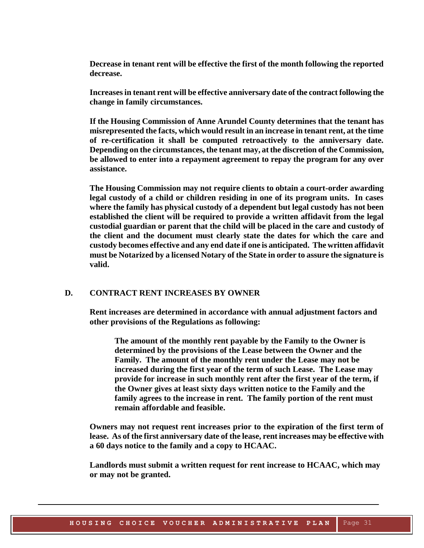**Decrease in tenant rent will be effective the first of the month following the reported decrease.**

**Increases in tenant rent will be effective anniversary date of the contract following the change in family circumstances.**

**If the Housing Commission of Anne Arundel County determines that the tenant has misrepresented the facts, which would result in an increase in tenant rent, at the time of re-certification it shall be computed retroactively to the anniversary date. Depending on the circumstances, the tenant may, at the discretion of the Commission, be allowed to enter into a repayment agreement to repay the program for any over assistance.**

**The Housing Commission may not require clients to obtain a court-order awarding legal custody of a child or children residing in one of its program units. In cases where the family has physical custody of a dependent but legal custody has not been established the client will be required to provide a written affidavit from the legal custodial guardian or parent that the child will be placed in the care and custody of the client and the document must clearly state the dates for which the care and custody becomes effective and any end date if one is anticipated. The written affidavit must be Notarized by a licensed Notary of the State in order to assure the signature is valid.**

#### <span id="page-28-0"></span>**D. CONTRACT RENT INCREASES BY OWNER**

**Rent increases are determined in accordance with annual adjustment factors and other provisions of the Regulations as following:**

**The amount of the monthly rent payable by the Family to the Owner is determined by the provisions of the Lease between the Owner and the Family. The amount of the monthly rent under the Lease may not be increased during the first year of the term of such Lease. The Lease may provide for increase in such monthly rent after the first year of the term, if the Owner gives at least sixty days written notice to the Family and the family agrees to the increase in rent. The family portion of the rent must remain affordable and feasible.**

**Owners may not request rent increases prior to the expiration of the first term of lease. As of the first anniversary date of the lease, rent increases may be effective with a 60 days notice to the family and a copy to HCAAC.**

**Landlords must submit a written request for rent increase to HCAAC, which may or may not be granted.**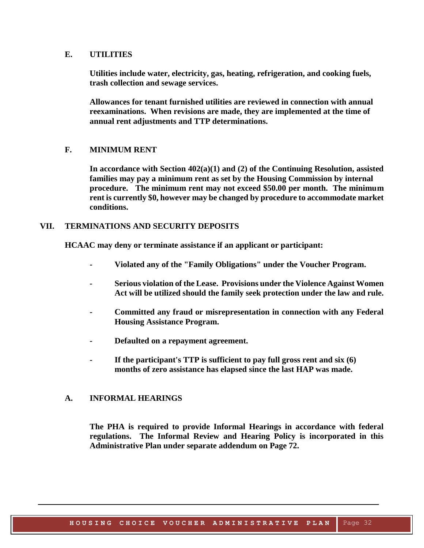#### <span id="page-29-0"></span>**E. UTILITIES**

**Utilities include water, electricity, gas, heating, refrigeration, and cooking fuels, trash collection and sewage services.**

**Allowances for tenant furnished utilities are reviewed in connection with annual reexaminations. When revisions are made, they are implemented at the time of annual rent adjustments and TTP determinations.**

## <span id="page-29-1"></span>**F. MINIMUM RENT**

**In accordance with Section 402(a)(1) and (2) of the Continuing Resolution, assisted families may pay a minimum rent as set by the Housing Commission by internal procedure. The minimum rent may not exceed \$50.00 per month. The minimum rent is currently \$0, however may be changed by procedure to accommodate market conditions.**

## <span id="page-29-2"></span>**VII. TERMINATIONS AND SECURITY DEPOSITS**

**HCAAC may deny or terminate assistance if an applicant or participant:**

- **- Violated any of the "Family Obligations" under the Voucher Program.**
- *-* **Serious violation of the Lease. Provisions under the Violence Against Women Act will be utilized should the family seek protection under the law and rule.**
- **- Committed any fraud or misrepresentation in connection with any Federal Housing Assistance Program.**
- **- Defaulted on a repayment agreement.**
- **- If the participant's TTP is sufficient to pay full gross rent and six (6) months of zero assistance has elapsed since the last HAP was made.**

## <span id="page-29-3"></span>**A. INFORMAL HEARINGS**

**The PHA is required to provide Informal Hearings in accordance with federal regulations. The Informal Review and Hearing Policy is incorporated in this Administrative Plan under separate addendum on Page 72.**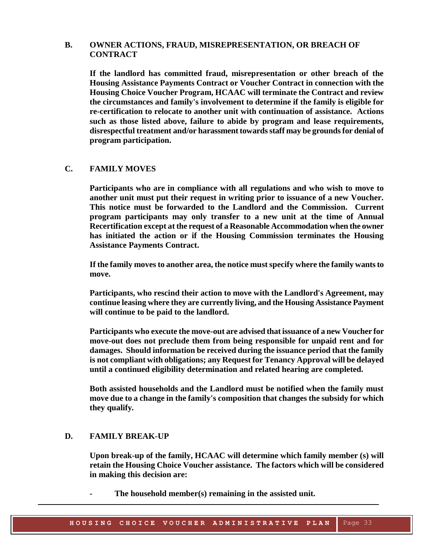## <span id="page-30-0"></span>**B. OWNER ACTIONS, FRAUD, MISREPRESENTATION, OR BREACH OF CONTRACT**

**If the landlord has committed fraud, misrepresentation or other breach of the Housing Assistance Payments Contract or Voucher Contract in connection with the Housing Choice Voucher Program, HCAAC will terminate the Contract and review the circumstances and family's involvement to determine if the family is eligible for re-certification to relocate to another unit with continuation of assistance. Actions such as those listed above, failure to abide by program and lease requirements, disrespectful treatment and/or harassment towards staff may be grounds for denial of program participation.**

## <span id="page-30-1"></span>**C. FAMILY MOVES**

**Participants who are in compliance with all regulations and who wish to move to another unit must put their request in writing prior to issuance of a new Voucher. This notice must be forwarded to the Landlord and the Commission. Current program participants may only transfer to a new unit at the time of Annual Recertification except at the request of a Reasonable Accommodation when the owner has initiated the action or if the Housing Commission terminates the Housing Assistance Payments Contract.** 

**If the family moves to another area, the notice must specify where the family wants to move.**

**Participants, who rescind their action to move with the Landlord's Agreement, may continue leasing where they are currently living, and the Housing Assistance Payment will continue to be paid to the landlord.**

**Participants who execute the move-out are advised that issuance of a new Voucher for move-out does not preclude them from being responsible for unpaid rent and for damages. Should information be received during the issuance period that the family is not compliant with obligations; any Request for Tenancy Approval will be delayed until a continued eligibility determination and related hearing are completed.**

**Both assisted households and the Landlord must be notified when the family must move due to a change in the family's composition that changes the subsidy for which they qualify***.*

#### <span id="page-30-2"></span>**D. FAMILY BREAK-UP**

**Upon break-up of the family, HCAAC will determine which family member (s) will retain the Housing Choice Voucher assistance. The factors which will be considered in making this decision are:**

*-* **The household member(s) remaining in the assisted unit.**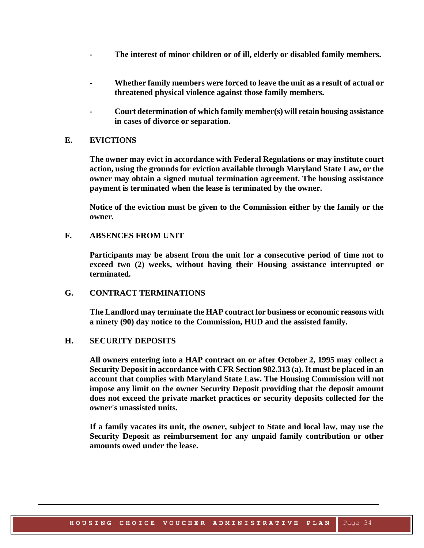- *-* **The interest of minor children or of ill, elderly or disabled family members.**
- *-* **Whether family members were forced to leave the unit as a result of actual or threatened physical violence against those family members.**
- **- Court determination of which family member(s) will retain housing assistance in cases of divorce or separation.**

#### <span id="page-31-0"></span>**E. EVICTIONS**

**The owner may evict in accordance with Federal Regulations or may institute court action, using the grounds for eviction available through Maryland State Law, or the owner may obtain a signed mutual termination agreement. The housing assistance payment is terminated when the lease is terminated by the owner.**

**Notice of the eviction must be given to the Commission either by the family or the owner***.*

## <span id="page-31-1"></span>**F. ABSENCES FROM UNIT**

**Participants may be absent from the unit for a consecutive period of time not to exceed two (2) weeks, without having their Housing assistance interrupted or terminated.**

## <span id="page-31-2"></span>**G. CONTRACT TERMINATIONS**

**The Landlord may terminate the HAP contract for business or economic reasons with a ninety (90) day notice to the Commission, HUD and the assisted family.**

#### <span id="page-31-3"></span>**H. SECURITY DEPOSITS**

**All owners entering into a HAP contract on or after October 2, 1995 may collect a Security Deposit in accordance with CFR Section 982.313 (a). It must be placed in an account that complies with Maryland State Law. The Housing Commission will not impose any limit on the owner Security Deposit providing that the deposit amount does not exceed the private market practices or security deposits collected for the owner's unassisted units***.*

**If a family vacates its unit, the owner, subject to State and local law, may use the Security Deposit as reimbursement for any unpaid family contribution or other amounts owed under the lease.**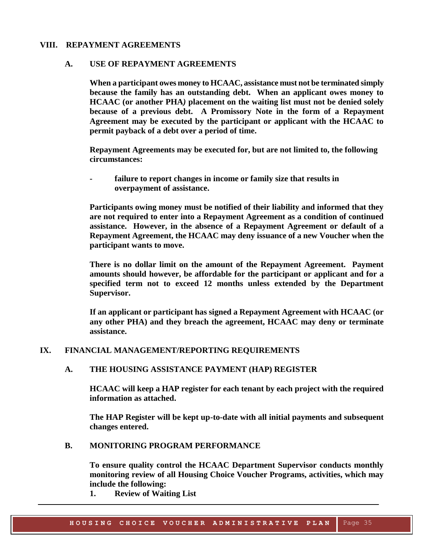## <span id="page-32-1"></span><span id="page-32-0"></span>**VIII. REPAYMENT AGREEMENTS**

#### **A. USE OF REPAYMENT AGREEMENTS**

**When a participant owes money to HCAAC, assistance must not be terminated simply because the family has an outstanding debt. When an applicant owes money to HCAAC (or another PHA***)* **placement on the waiting list must not be denied solely because of a previous debt. A Promissory Note in the form of a Repayment Agreement may be executed by the participant or applicant with the HCAAC to permit payback of a debt over a period of time.**

**Repayment Agreements may be executed for, but are not limited to, the following circumstances:**

**- failure to report changes in income or family size that results in overpayment of assistance.**

**Participants owing money must be notified of their liability and informed that they are not required to enter into a Repayment Agreement as a condition of continued assistance. However, in the absence of a Repayment Agreement or default of a Repayment Agreement, the HCAAC may deny issuance of a new Voucher when the participant wants to move.**

**There is no dollar limit on the amount of the Repayment Agreement. Payment amounts should however, be affordable for the participant or applicant and for a specified term not to exceed 12 months unless extended by the Department Supervisor.**

**If an applicant or participant has signed a Repayment Agreement with HCAAC (or any other PHA) and they breach the agreement, HCAAC may deny or terminate assistance.**

## <span id="page-32-3"></span><span id="page-32-2"></span>**IX. FINANCIAL MANAGEMENT/REPORTING REQUIREMENTS**

#### **A. THE HOUSING ASSISTANCE PAYMENT (HAP) REGISTER**

**HCAAC will keep a HAP register for each tenant by each project with the required information as attached.**

**The HAP Register will be kept up-to-date with all initial payments and subsequent changes entered.** 

#### <span id="page-32-4"></span>**B. MONITORING PROGRAM PERFORMANCE**

**To ensure quality control the HCAAC Department Supervisor conducts monthly monitoring review of all Housing Choice Voucher Programs, activities, which may include the following:**

**1. Review of Waiting List**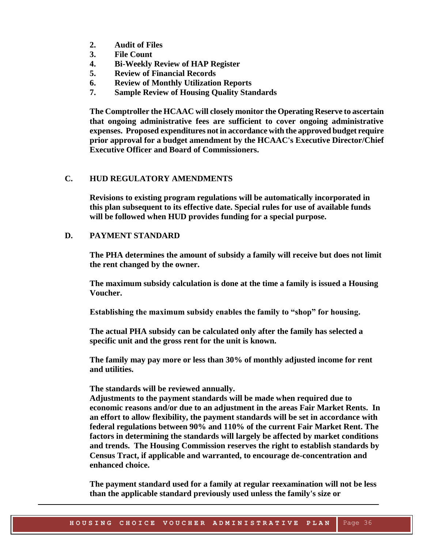- **2. Audit of Files**
- **3. File Count**
- **4. Bi-Weekly Review of HAP Register**
- **5. Review of Financial Records**
- **6. Review of Monthly Utilization Reports**
- **7. Sample Review of Housing Quality Standards**

**The Comptroller the HCAAC will closely monitor the Operating Reserve to ascertain that ongoing administrative fees are sufficient to cover ongoing administrative expenses. Proposed expenditures not in accordance with the approved budget require prior approval for a budget amendment by the HCAAC's Executive Director/Chief Executive Officer and Board of Commissioners.**

## <span id="page-33-0"></span>**C. HUD REGULATORY AMENDMENTS**

**Revisions to existing program regulations will be automatically incorporated in this plan subsequent to its effective date. Special rules for use of available funds will be followed when HUD provides funding for a special purpose.**

## <span id="page-33-1"></span>**D. PAYMENT STANDARD**

**The PHA determines the amount of subsidy a family will receive but does not limit the rent changed by the owner.**

**The maximum subsidy calculation is done at the time a family is issued a Housing Voucher.**

**Establishing the maximum subsidy enables the family to "shop" for housing.**

**The actual PHA subsidy can be calculated only after the family has selected a specific unit and the gross rent for the unit is known.**

**The family may pay more or less than 30% of monthly adjusted income for rent and utilities.**

**The standards will be reviewed annually.**

**Adjustments to the payment standards will be made when required due to economic reasons and/or due to an adjustment in the areas Fair Market Rents. In an effort to allow flexibility, the payment standards will be set in accordance with federal regulations between 90% and 110% of the current Fair Market Rent. The factors in determining the standards will largely be affected by market conditions and trends. The Housing Commission reserves the right to establish standards by Census Tract, if applicable and warranted, to encourage de-concentration and enhanced choice.**

**The payment standard used for a family at regular reexamination will not be less than the applicable standard previously used unless the family's size or**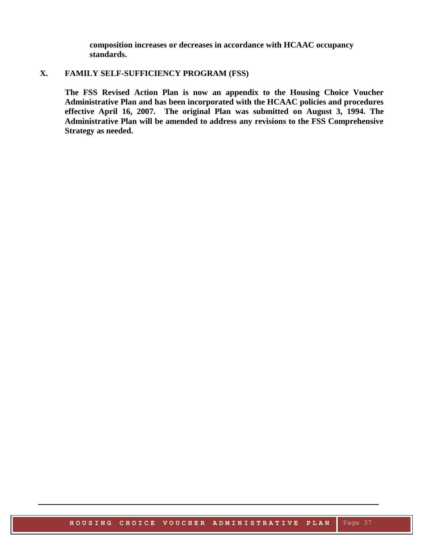**composition increases or decreases in accordance with HCAAC occupancy standards.** 

## <span id="page-34-0"></span>**X. FAMILY SELF-SUFFICIENCY PROGRAM (FSS)**

**The FSS Revised Action Plan is now an appendix to the Housing Choice Voucher Administrative Plan and has been incorporated with the HCAAC policies and procedures effective April 16, 2007. The original Plan was submitted on August 3, 1994. The Administrative Plan will be amended to address any revisions to the FSS Comprehensive Strategy as needed.**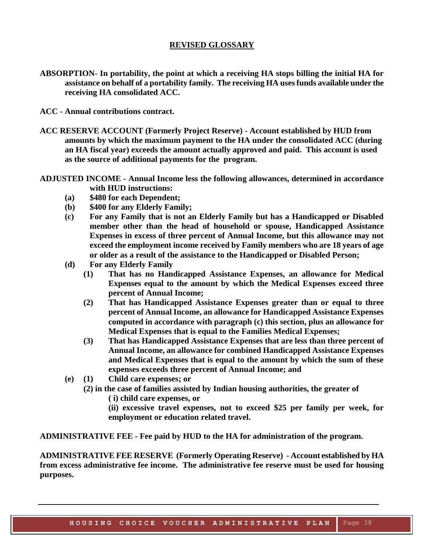## **REVISED GLOSSARY**

- <span id="page-35-0"></span>**ABSORPTION- In portability, the point at which a receiving HA stops billing the initial HA for assistance on behalf of a portability family. The receiving HA uses funds available under the receiving HA consolidated ACC.**
- **ACC - Annual contributions contract.**
- **ACC RESERVE ACCOUNT (Formerly Project Reserve) - Account established by HUD from amounts by which the maximum payment to the HA under the consolidated ACC (during an HA fiscal year) exceeds the amount actually approved and paid. This account is used as the source of additional payments for the program.**
- **ADJUSTED INCOME - Annual Income less the following allowances, determined in accordance with HUD instructions:**
	- **(a) \$480 for each Dependent;**
	- **(b) \$400 for any Elderly Family;**
	- **(c) For any Family that is not an Elderly Family but has a Handicapped or Disabled member other than the head of household or spouse, Handicapped Assistance Expenses in excess of three percent of Annual Income, but this allowance may not exceed the employment income received by Family members who are 18 years of age or older as a result of the assistance to the Handicapped or Disabled Person;**
	- **(d) For any Elderly Family**
		- **(1) That has no Handicapped Assistance Expenses, an allowance for Medical Expenses equal to the amount by which the Medical Expenses exceed three percent of Annual Income;**
		- **(2) That has Handicapped Assistance Expenses greater than or equal to three percent of Annual Income, an allowance for Handicapped Assistance Expenses computed in accordance with paragraph (c) this section, plus an allowance for Medical Expenses that is equal to the Families Medical Expenses;**
		- **(3) That has Handicapped Assistance Expenses that are less than three percent of Annual Income, an allowance for combined Handicapped Assistance Expenses and Medical Expenses that is equal to the amount by which the sum of these expenses exceeds three percent of Annual Income; and**
	- **(e) (1) Child care expenses; or** 
		- **(2) in the case of families assisted by Indian housing authorities, the greater of** 
			- **( i) child care expenses, or**
			- **(ii) excessive travel expenses, not to exceed \$25 per family per week, for employment or education related travel.**

**ADMINISTRATIVE FEE - Fee paid by HUD to the HA for administration of the program.**

**ADMINISTRATIVE FEE RESERVE (Formerly Operating Reserve) - Account established by HA from excess administrative fee income. The administrative fee reserve must be used for housing purposes.**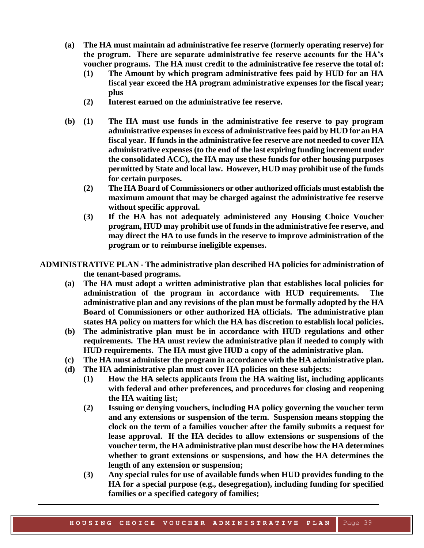- **(a) The HA must maintain ad administrative fee reserve (formerly operating reserve) for the program. There are separate administrative fee reserve accounts for the HA's voucher programs. The HA must credit to the administrative fee reserve the total of:**
	- **(1) The Amount by which program administrative fees paid by HUD for an HA fiscal year exceed the HA program administrative expenses for the fiscal year; plus**
	- **(2) Interest earned on the administrative fee reserve.**
- **(b) (1) The HA must use funds in the administrative fee reserve to pay program administrative expenses in excess of administrative fees paid by HUD for an HA fiscal year. If funds in the administrative fee reserve are not needed to cover HA administrative expenses (to the end of the last expiring funding increment under the consolidated ACC), the HA may use these funds for other housing purposes permitted by State and local law. However, HUD may prohibit use of the funds for certain purposes.**
	- **(2) The HA Board of Commissioners or other authorized officials must establish the maximum amount that may be charged against the administrative fee reserve without specific approval.**
	- **(3) If the HA has not adequately administered any Housing Choice Voucher program, HUD may prohibit use of funds in the administrative fee reserve, and may direct the HA to use funds in the reserve to improve administration of the program or to reimburse ineligible expenses.**
- **ADMINISTRATIVE PLAN - The administrative plan described HA policies for administration of the tenant-based programs.** 
	- **(a) The HA must adopt a written administrative plan that establishes local policies for administration of the program in accordance with HUD requirements. The administrative plan and any revisions of the plan must be formally adopted by the HA Board of Commissioners or other authorized HA officials. The administrative plan states HA policy on matters for which the HA has discretion to establish local policies.**
	- **(b) The administrative plan must be in accordance with HUD regulations and other requirements. The HA must review the administrative plan if needed to comply with HUD requirements. The HA must give HUD a copy of the administrative plan.**
	- **(c) The HA must administer the program in accordance with the HA administrative plan.**
	- **(d) The HA administrative plan must cover HA policies on these subjects:**
		- **(1) How the HA selects applicants from the HA waiting list, including applicants with federal and other preferences, and procedures for closing and reopening the HA waiting list;**
		- **(2) Issuing or denying vouchers, including HA policy governing the voucher term and any extensions or suspension of the term. Suspension means stopping the clock on the term of a families voucher after the family submits a request for lease approval. If the HA decides to allow extensions or suspensions of the voucher term, the HA administrative plan must describe how the HA determines whether to grant extensions or suspensions, and how the HA determines the length of any extension or suspension;**
		- **(3) Any special rules for use of available funds when HUD provides funding to the HA for a special purpose (e.g., desegregation), including funding for specified families or a specified category of families;**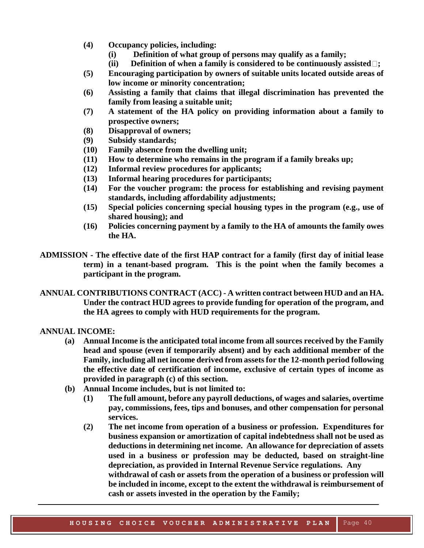- **(4) Occupancy policies, including:**
	- **(i) Definition of what group of persons may qualify as a family;**
	- **(ii) Definition of when a family is considered to be continuously assisted ;**
- **(5) Encouraging participation by owners of suitable units located outside areas of low income or minority concentration;**
- **(6) Assisting a family that claims that illegal discrimination has prevented the family from leasing a suitable unit;**
- **(7) A statement of the HA policy on providing information about a family to prospective owners;**
- **(8) Disapproval of owners;**
- **(9) Subsidy standards;**
- **(10) Family absence from the dwelling unit;**
- **(11) How to determine who remains in the program if a family breaks up;**
- **(12) Informal review procedures for applicants;**
- **(13) Informal hearing procedures for participants;**
- **(14) For the voucher program: the process for establishing and revising payment standards, including affordability adjustments;**
- **(15) Special policies concerning special housing types in the program (e.g., use of shared housing); and**
- **(16) Policies concerning payment by a family to the HA of amounts the family owes the HA.**
- **ADMISSION - The effective date of the first HAP contract for a family (first day of initial lease term) in a tenant-based program. This is the point when the family becomes a participant in the program.**
- **ANNUAL CONTRIBUTIONS CONTRACT (ACC) - A written contract between HUD and an HA. Under the contract HUD agrees to provide funding for operation of the program, and the HA agrees to comply with HUD requirements for the program.**

#### **ANNUAL INCOME:**

- **(a) Annual Income is the anticipated total income from all sources received by the Family head and spouse (even if temporarily absent) and by each additional member of the Family, including all net income derived from assets for the 12-month period following the effective date of certification of income, exclusive of certain types of income as provided in paragraph (c) of this section.**
- **(b) Annual Income includes, but is not limited to:**
	- **(1) The full amount, before any payroll deductions, of wages and salaries, overtime pay, commissions, fees, tips and bonuses, and other compensation for personal services.**
	- **(2) The net income from operation of a business or profession. Expenditures for business expansion or amortization of capital indebtedness shall not be used as deductions in determining net income. An allowance for depreciation of assets used in a business or profession may be deducted, based on straight-line depreciation, as provided in Internal Revenue Service regulations. Any withdrawal of cash or assets from the operation of a business or profession will be included in income, except to the extent the withdrawal is reimbursement of cash or assets invested in the operation by the Family;**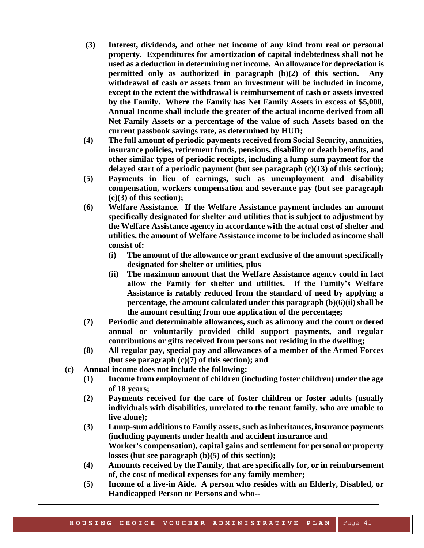- **(3) Interest, dividends, and other net income of any kind from real or personal property. Expenditures for amortization of capital indebtedness shall not be used as a deduction in determining net income. An allowance for depreciation is permitted only as authorized in paragraph (b)(2) of this section. Any withdrawal of cash or assets from an investment will be included in income, except to the extent the withdrawal is reimbursement of cash or assets invested by the Family. Where the Family has Net Family Assets in excess of \$5,000, Annual Income shall include the greater of the actual income derived from all Net Family Assets or a percentage of the value of such Assets based on the current passbook savings rate, as determined by HUD;**
- **(4) The full amount of periodic payments received from Social Security, annuities, insurance policies, retirement funds, pensions, disability or death benefits, and other similar types of periodic receipts, including a lump sum payment for the delayed start of a periodic payment (but see paragraph (c)(13) of this section);**
- **(5) Payments in lieu of earnings, such as unemployment and disability compensation, workers compensation and severance pay (but see paragraph (c)(3) of this section);**
- **(6) Welfare Assistance. If the Welfare Assistance payment includes an amount specifically designated for shelter and utilities that is subject to adjustment by the Welfare Assistance agency in accordance with the actual cost of shelter and utilities, the amount of Welfare Assistance income to be included as income shall consist of:**
	- **(i) The amount of the allowance or grant exclusive of the amount specifically designated for shelter or utilities, plus**
	- **(ii) The maximum amount that the Welfare Assistance agency could in fact allow the Family for shelter and utilities. If the Family's Welfare Assistance is ratably reduced from the standard of need by applying a percentage, the amount calculated under this paragraph (b)(6)(ii) shall be the amount resulting from one application of the percentage;**
- **(7) Periodic and determinable allowances, such as alimony and the court ordered annual or voluntarily provided child support payments, and regular contributions or gifts received from persons not residing in the dwelling;**
- **(8) All regular pay, special pay and allowances of a member of the Armed Forces (but see paragraph (c)(7) of this section); and**
- **(c) Annual income does not include the following:**
	- **(1) Income from employment of children (including foster children) under the age of 18 years;**
	- **(2) Payments received for the care of foster children or foster adults (usually individuals with disabilities, unrelated to the tenant family, who are unable to live alone);**
	- **(3) Lump-sum additions to Family assets, such as inheritances, insurance payments (including payments under health and accident insurance and Worker's compensation), capital gains and settlement for personal or property losses (but see paragraph (b)(5) of this section);**
	- **(4) Amounts received by the Family, that are specifically for, or in reimbursement of, the cost of medical expenses for any family member;**
	- **(5) Income of a live-in Aide. A person who resides with an Elderly, Disabled, or Handicapped Person or Persons and who--**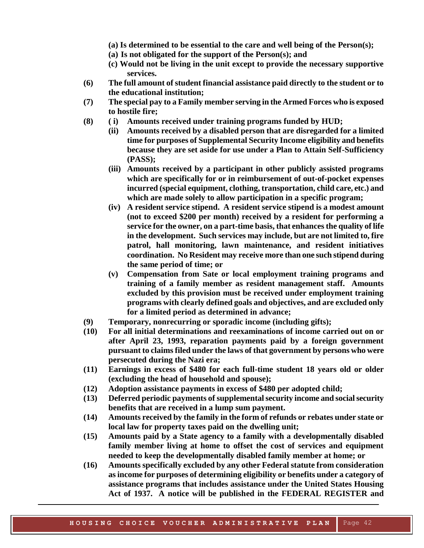- **(a) Is determined to be essential to the care and well being of the Person(s);**
- **(a) Is not obligated for the support of the Person(s); and**
- **(c) Would not be living in the unit except to provide the necessary supportive services.**
- **(6) The full amount of student financial assistance paid directly to the student or to the educational institution;**
- **(7) The special pay to a Family member serving in the Armed Forces who is exposed to hostile fire;**
- **(8) ( i) Amounts received under training programs funded by HUD;**
	- **(ii) Amounts received by a disabled person that are disregarded for a limited time for purposes of Supplemental Security Income eligibility and benefits because they are set aside for use under a Plan to Attain Self-Sufficiency (PASS);**
	- **(iii) Amounts received by a participant in other publicly assisted programs which are specifically for or in reimbursement of out-of-pocket expenses incurred (special equipment, clothing, transportation, child care, etc.) and which are made solely to allow participation in a specific program;**
	- **(iv) A resident service stipend. A resident service stipend is a modest amount (not to exceed \$200 per month) received by a resident for performing a service for the owner, on a part-time basis, that enhances the quality of life in the development. Such services may include, but are not limited to, fire patrol, hall monitoring, lawn maintenance, and resident initiatives coordination. No Resident may receive more than one such stipend during the same period of time; or**
	- **(v) Compensation from Sate or local employment training programs and training of a family member as resident management staff. Amounts excluded by this provision must be received under employment training programs with clearly defined goals and objectives, and are excluded only for a limited period as determined in advance;**
- **(9) Temporary, nonrecurring or sporadic income (including gifts);**
- **(10) For all initial determinations and reexaminations of income carried out on or after April 23, 1993, reparation payments paid by a foreign government pursuant to claims filed under the laws of that government by persons who were persecuted during the Nazi era;**
- **(11) Earnings in excess of \$480 for each full-time student 18 years old or older (excluding the head of household and spouse);**
- **(12) Adoption assistance payments in excess of \$480 per adopted child;**
- **(13) Deferred periodic payments of supplemental security income and social security benefits that are received in a lump sum payment.**
- **(14) Amounts received by the family in the form of refunds or rebates under state or local law for property taxes paid on the dwelling unit;**
- **(15) Amounts paid by a State agency to a family with a developmentally disabled family member living at home to offset the cost of services and equipment needed to keep the developmentally disabled family member at home; or**
- **(16) Amounts specifically excluded by any other Federal statute from consideration as income for purposes of determining eligibility or benefits under a category of assistance programs that includes assistance under the United States Housing Act of 1937. A notice will be published in the FEDERAL REGISTER and**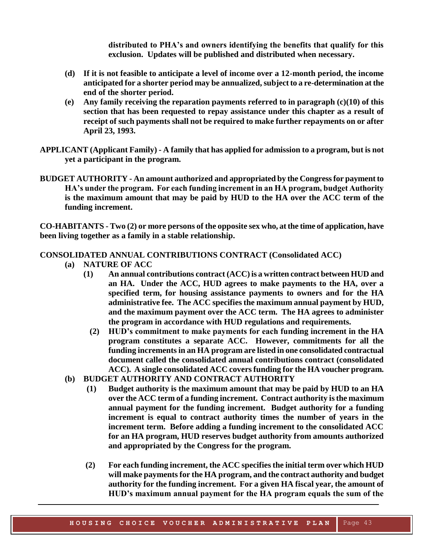**distributed to PHA's and owners identifying the benefits that qualify for this exclusion. Updates will be published and distributed when necessary.**

- **(d) If it is not feasible to anticipate a level of income over a 12-month period, the income anticipated for a shorter period may be annualized, subject to a re-determination at the end of the shorter period.**
- **(e) Any family receiving the reparation payments referred to in paragraph (c)(10) of this section that has been requested to repay assistance under this chapter as a result of receipt of such payments shall not be required to make further repayments on or after April 23, 1993.**
- **APPLICANT (Applicant Family) - A family that has applied for admission to a program, but is not yet a participant in the program.**
- **BUDGET AUTHORITY - An amount authorized and appropriated by the Congress for payment to HA's under the program. For each funding increment in an HA program, budget Authority is the maximum amount that may be paid by HUD to the HA over the ACC term of the funding increment.**

**CO-HABITANTS - Two (2) or more persons of the opposite sex who, at the time of application, have been living together as a family in a stable relationship.**

#### **CONSOLIDATED ANNUAL CONTRIBUTIONS CONTRACT (Consolidated ACC)**

- **(a) NATURE OF ACC**
	- **(1) An annual contributions contract (ACC) is a written contract between HUD and an HA. Under the ACC, HUD agrees to make payments to the HA, over a specified term, for housing assistance payments to owners and for the HA administrative fee. The ACC specifies the maximum annual payment by HUD, and the maximum payment over the ACC term. The HA agrees to administer the program in accordance with HUD regulations and requirements.**
		- **(2) HUD's commitment to make payments for each funding increment in the HA program constitutes a separate ACC. However, commitments for all the funding increments in an HA program are listed in one consolidated contractual document called the consolidated annual contributions contract (consolidated ACC). A single consolidated ACC covers funding for the HA voucher program.**
- **(b) BUDGET AUTHORITY AND CONTRACT AUTHORITY**
	- **(1) Budget authority is the maximum amount that may be paid by HUD to an HA over the ACC term of a funding increment. Contract authority is the maximum annual payment for the funding increment. Budget authority for a funding increment is equal to contract authority times the number of years in the increment term. Before adding a funding increment to the consolidated ACC for an HA program, HUD reserves budget authority from amounts authorized and appropriated by the Congress for the program.**
	- **(2) For each funding increment, the ACC specifies the initial term over which HUD will make payments for the HA program, and the contract authority and budget authority for the funding increment. For a given HA fiscal year, the amount of HUD's maximum annual payment for the HA program equals the sum of the**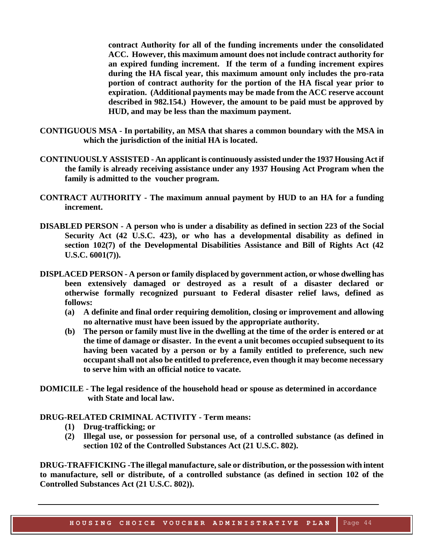**contract Authority for all of the funding increments under the consolidated ACC. However, this maximum amount does not include contract authority for an expired funding increment. If the term of a funding increment expires during the HA fiscal year, this maximum amount only includes the pro-rata portion of contract authority for the portion of the HA fiscal year prior to expiration. (Additional payments may be made from the ACC reserve account described in 982.154.) However, the amount to be paid must be approved by HUD, and may be less than the maximum payment.**

- **CONTIGUOUS MSA - In portability, an MSA that shares a common boundary with the MSA in which the jurisdiction of the initial HA is located.**
- **CONTINUOUSLY ASSISTED - An applicant is continuously assisted under the 1937 Housing Act if the family is already receiving assistance under any 1937 Housing Act Program when the family is admitted to the voucher program.**
- **CONTRACT AUTHORITY - The maximum annual payment by HUD to an HA for a funding increment.**
- **DISABLED PERSON - A person who is under a disability as defined in section 223 of the Social Security Act (42 U.S.C. 423), or who has a developmental disability as defined in section 102(7) of the Developmental Disabilities Assistance and Bill of Rights Act (42 U.S.C. 6001(7)).**
- **DISPLACED PERSON - A person or family displaced by government action, or whose dwelling has been extensively damaged or destroyed as a result of a disaster declared or otherwise formally recognized pursuant to Federal disaster relief laws, defined as follows:**
	- **(a) A definite and final order requiring demolition, closing or improvement and allowing no alternative must have been issued by the appropriate authority.**
	- **(b) The person or family must live in the dwelling at the time of the order is entered or at the time of damage or disaster. In the event a unit becomes occupied subsequent to its having been vacated by a person or by a family entitled to preference, such new occupant shall not also be entitled to preference, even though it may become necessary to serve him with an official notice to vacate.**
- **DOMICILE - The legal residence of the household head or spouse as determined in accordance with State and local law.**

#### **DRUG-RELATED CRIMINAL ACTIVITY - Term means:**

- **(1) Drug-trafficking; or**
- **(2) Illegal use, or possession for personal use, of a controlled substance (as defined in section 102 of the Controlled Substances Act (21 U.S.C. 802).**

**DRUG-TRAFFICKING -The illegal manufacture, sale or distribution, or the possession with intent to manufacture, sell or distribute, of a controlled substance (as defined in section 102 of the Controlled Substances Act (21 U.S.C. 802)).**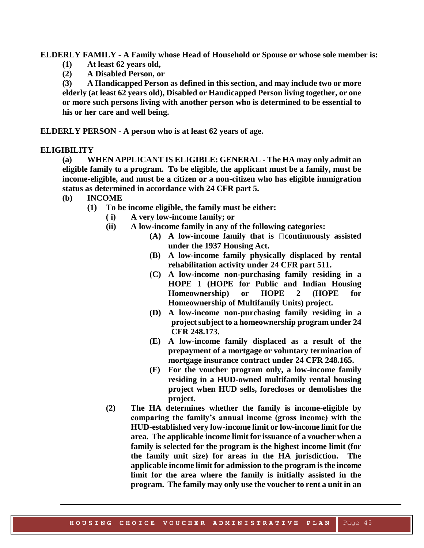**ELDERLY FAMILY - A Family whose Head of Household or Spouse or whose sole member is:**

- **(1) At least 62 years old,**
- **(2) A Disabled Person, or**

**(3) A Handicapped Person as defined in this section, and may include two or more elderly (at least 62 years old), Disabled or Handicapped Person living together, or one or more such persons living with another person who is determined to be essential to his or her care and well being.**

**ELDERLY PERSON - A person who is at least 62 years of age.**

#### **ELIGIBILITY**

**(a) WHEN APPLICANT IS ELIGIBLE: GENERAL - The HA may only admit an eligible family to a program. To be eligible, the applicant must be a family, must be income-eligible, and must be a citizen or a non-citizen who has eligible immigration status as determined in accordance with 24 CFR part 5.**

- **(b) INCOME**
	- **(1) To be income eligible, the family must be either:**
		- **( i) A very low-income family; or**
		- **(ii) A low-income family in any of the following categories:**
			- $(A)$  **A** low-income family that is  $\Box$  continuously assisted **under the 1937 Housing Act.**
			- **(B) A low-income family physically displaced by rental rehabilitation activity under 24 CFR part 511.**
			- **(C) A low-income non-purchasing family residing in a HOPE 1 (HOPE for Public and Indian Housing Homeownership) or HOPE 2 (HOPE for Homeownership of Multifamily Units) project.**
			- **(D) A low-income non-purchasing family residing in a project subject to a homeownership program under 24 CFR 248.173.**
			- **(E) A low-income family displaced as a result of the prepayment of a mortgage or voluntary termination of mortgage insurance contract under 24 CFR 248.165.**
			- **(F) For the voucher program only, a low-income family residing in a HUD-owned multifamily rental housing project when HUD sells, forecloses or demolishes the project.**
		- **(2) The HA determines whether the family is income-eligible by comparing the family's annual income (gross income) with the HUD-established very low-income limit or low-income limit for the area. The applicable income limit for issuance of a voucher when a family is selected for the program is the highest income limit (for the family unit size) for areas in the HA jurisdiction. The applicable income limit for admission to the program is the income limit for the area where the family is initially assisted in the program. The family may only use the voucher to rent a unit in an**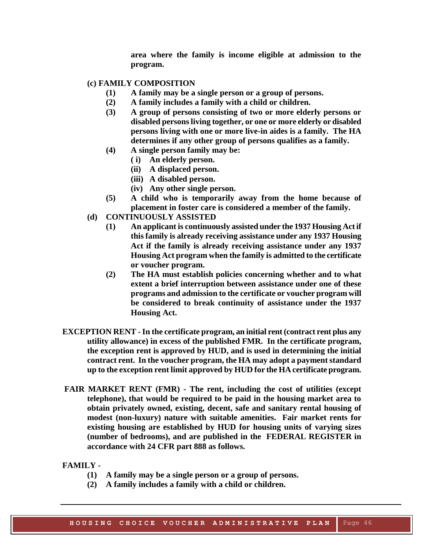**area where the family is income eligible at admission to the program.**

#### **(c) FAMILY COMPOSITION**

- **(1) A family may be a single person or a group of persons.**
- **(2) A family includes a family with a child or children.**
- **(3) A group of persons consisting of two or more elderly persons or disabled persons living together, or one or more elderly or disabled persons living with one or more live-in aides is a family. The HA determines if any other group of persons qualifies as a family.**
- **(4) A single person family may be:**
	- **( i) An elderly person.**
	- **(ii) A displaced person.**
	- **(iii) A disabled person.**
	- **(iv) Any other single person.**
- **(5) A child who is temporarily away from the home because of placement in foster care is considered a member of the family.**
- **(d) CONTINUOUSLY ASSISTED**
	- **(1) An applicant is continuously assisted under the 1937 Housing Act if this family is already receiving assistance under any 1937 Housing Act if the family is already receiving assistance under any 1937 Housing Act program when the family is admitted to the certificate or voucher program.**
	- **(2) The HA must establish policies concerning whether and to what extent a brief interruption between assistance under one of these programs and admission to the certificate or voucher program will be considered to break continuity of assistance under the 1937 Housing Act.**
- **EXCEPTION RENT In the certificate program, an initial rent (contract rent plus any utility allowance) in excess of the published FMR. In the certificate program, the exception rent is approved by HUD, and is used in determining the initial contract rent. In the voucher program, the HA may adopt a payment standard up to the exception rent limit approved by HUD for the HA certificate program.**
- **FAIR MARKET RENT (FMR) - The rent, including the cost of utilities (except telephone), that would be required to be paid in the housing market area to obtain privately owned, existing, decent, safe and sanitary rental housing of modest (non-luxury) nature with suitable amenities. Fair market rents for existing housing are established by HUD for housing units of varying sizes (number of bedrooms), and are published in the FEDERAL REGISTER in accordance with 24 CFR part 888 as follows.**

**FAMILY -**

- **(1) A family may be a single person or a group of persons.**
- **(2) A family includes a family with a child or children.**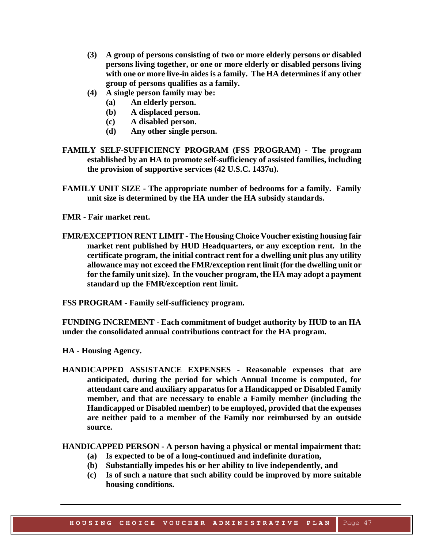- **(3) A group of persons consisting of two or more elderly persons or disabled persons living together, or one or more elderly or disabled persons living with one or more live-in aides is a family. The HA determines if any other group of persons qualifies as a family.**
- **(4) A single person family may be:**
	- **(a) An elderly person.**
	- **(b) A displaced person.**
	- **(c) A disabled person.**
	- **(d) Any other single person.**
- **FAMILY SELF-SUFFICIENCY PROGRAM (FSS PROGRAM) - The program established by an HA to promote self-sufficiency of assisted families, including the provision of supportive services (42 U.S.C. 1437u).**
- **FAMILY UNIT SIZE - The appropriate number of bedrooms for a family. Family unit size is determined by the HA under the HA subsidy standards.**
- **FMR - Fair market rent.**
- **FMR/EXCEPTION RENT LIMIT - The Housing Choice Voucher existing housing fair market rent published by HUD Headquarters, or any exception rent. In the certificate program, the initial contract rent for a dwelling unit plus any utility allowance may not exceed the FMR/exception rent limit (for the dwelling unit or for the family unit size). In the voucher program, the HA may adopt a payment standard up the FMR/exception rent limit.**

**FSS PROGRAM - Family self-sufficiency program.**

**FUNDING INCREMENT - Each commitment of budget authority by HUD to an HA under the consolidated annual contributions contract for the HA program.**

- **HA - Housing Agency.**
- **HANDICAPPED ASSISTANCE EXPENSES - Reasonable expenses that are anticipated, during the period for which Annual Income is computed, for attendant care and auxiliary apparatus for a Handicapped or Disabled Family member, and that are necessary to enable a Family member (including the Handicapped or Disabled member) to be employed, provided that the expenses are neither paid to a member of the Family nor reimbursed by an outside source.**

**HANDICAPPED PERSON - A person having a physical or mental impairment that:**

- **(a) Is expected to be of a long-continued and indefinite duration,**
- **(b) Substantially impedes his or her ability to live independently, and**
- **(c) Is of such a nature that such ability could be improved by more suitable housing conditions.**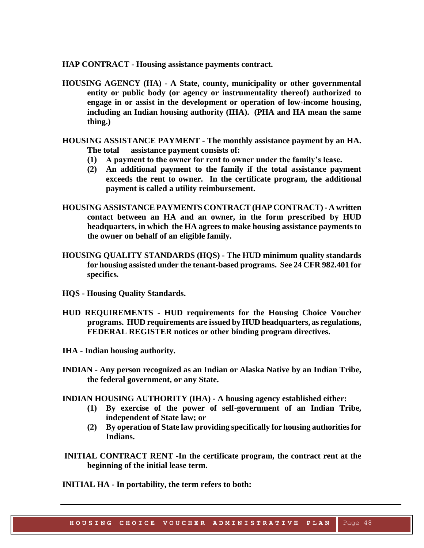**HAP CONTRACT - Housing assistance payments contract.**

- **HOUSING AGENCY (HA) - A State, county, municipality or other governmental entity or public body (or agency or instrumentality thereof) authorized to engage in or assist in the development or operation of low-income housing, including an Indian housing authority (IHA). (PHA and HA mean the same thing.)**
- **HOUSING ASSISTANCE PAYMENT - The monthly assistance payment by an HA. The total assistance payment consists of:**
	- **(1) A payment to the owner for rent to owner under the family's lease.**
	- **(2) An additional payment to the family if the total assistance payment exceeds the rent to owner. In the certificate program, the additional payment is called a utility reimbursement.**
- **HOUSING ASSISTANCE PAYMENTS CONTRACT (HAP CONTRACT) - A written contact between an HA and an owner, in the form prescribed by HUD headquarters, in which the HA agrees to make housing assistance payments to the owner on behalf of an eligible family.**
- **HOUSING QUALITY STANDARDS (HQS) - The HUD minimum quality standards for housing assisted under the tenant-based programs. See 24 CFR 982.401 for specifics***.*
- **HQS - Housing Quality Standards.**
- **HUD REQUIREMENTS - HUD requirements for the Housing Choice Voucher programs. HUD requirements are issued by HUD headquarters, as regulations, FEDERAL REGISTER notices or other binding program directives.**
- **IHA - Indian housing authority.**
- **INDIAN - Any person recognized as an Indian or Alaska Native by an Indian Tribe, the federal government, or any State.**
- **INDIAN HOUSING AUTHORITY (IHA) - A housing agency established either:**
	- **(1) By exercise of the power of self-government of an Indian Tribe, independent of State law; or**
	- **(2) By operation of State law providing specifically for housing authorities for Indians.**
- **INITIAL CONTRACT RENT -In the certificate program, the contract rent at the beginning of the initial lease term.**

**INITIAL HA - In portability, the term refers to both:**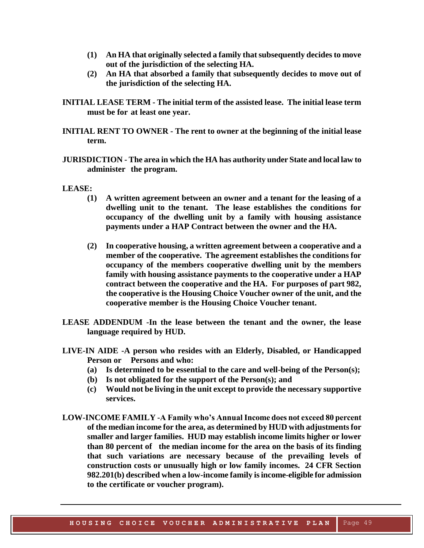- **(1) An HA that originally selected a family that subsequently decides to move out of the jurisdiction of the selecting HA.**
- **(2) An HA that absorbed a family that subsequently decides to move out of the jurisdiction of the selecting HA.**
- **INITIAL LEASE TERM - The initial term of the assisted lease. The initial lease term must be for at least one year.**
- **INITIAL RENT TO OWNER - The rent to owner at the beginning of the initial lease term.**
- **JURISDICTION - The area in which the HA has authority under State and local law to administer the program.**

#### **LEASE:**

- **(1) A written agreement between an owner and a tenant for the leasing of a dwelling unit to the tenant. The lease establishes the conditions for occupancy of the dwelling unit by a family with housing assistance payments under a HAP Contract between the owner and the HA.**
- **(2) In cooperative housing, a written agreement between a cooperative and a member of the cooperative. The agreement establishes the conditions for occupancy of the members cooperative dwelling unit by the members family with housing assistance payments to the cooperative under a HAP contract between the cooperative and the HA. For purposes of part 982, the cooperative is the Housing Choice Voucher owner of the unit, and the cooperative member is the Housing Choice Voucher tenant.**
- **LEASE ADDENDUM -In the lease between the tenant and the owner, the lease language required by HUD.**
- **LIVE-IN AIDE -A person who resides with an Elderly, Disabled, or Handicapped Person or Persons and who:**
	- **(a) Is determined to be essential to the care and well-being of the Person(s);**
	- **(b) Is not obligated for the support of the Person(s); and**
	- **(c) Would not be living in the unit except to provide the necessary supportive services.**
- **LOW-INCOME FAMILY -A Family who's Annual Income does not exceed 80 percent of the median income for the area, as determined by HUD with adjustments for smaller and larger families. HUD may establish income limits higher or lower than 80 percent of the median income for the area on the basis of its finding that such variations are necessary because of the prevailing levels of construction costs or unusually high or low family incomes. 24 CFR Section 982.201(b) described when a low-income family is income-eligible for admission to the certificate or voucher program).**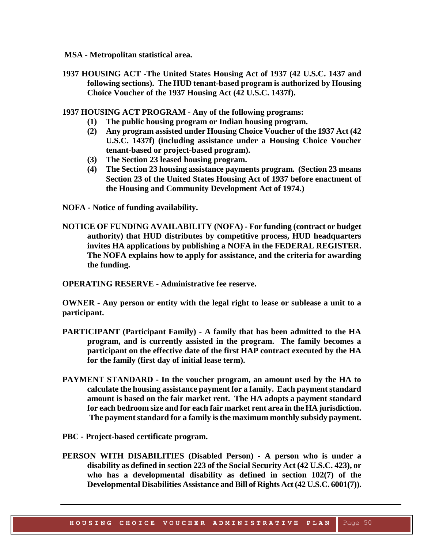- **MSA - Metropolitan statistical area.**
- **1937 HOUSING ACT -The United States Housing Act of 1937 (42 U.S.C. 1437 and following sections). The HUD tenant-based program is authorized by Housing Choice Voucher of the 1937 Housing Act (42 U.S.C. 1437f).**
- **1937 HOUSING ACT PROGRAM - Any of the following programs:**
	- **(1) The public housing program or Indian housing program.**
	- **(2) Any program assisted under Housing Choice Voucher of the 1937 Act (42 U.S.C. 1437f) (including assistance under a Housing Choice Voucher tenant-based or project-based program).**
	- **(3) The Section 23 leased housing program.**
	- **(4) The Section 23 housing assistance payments program. (Section 23 means Section 23 of the United States Housing Act of 1937 before enactment of the Housing and Community Development Act of 1974.)**
- **NOFA - Notice of funding availability.**
- **NOTICE OF FUNDING AVAILABILITY (NOFA) - For funding (contract or budget authority) that HUD distributes by competitive process, HUD headquarters invites HA applications by publishing a NOFA in the FEDERAL REGISTER. The NOFA explains how to apply for assistance, and the criteria for awarding the funding.**

**OPERATING RESERVE - Administrative fee reserve.**

**OWNER - Any person or entity with the legal right to lease or sublease a unit to a participant.**

- **PARTICIPANT (Participant Family) - A family that has been admitted to the HA program, and is currently assisted in the program. The family becomes a participant on the effective date of the first HAP contract executed by the HA for the family (first day of initial lease term).**
- **PAYMENT STANDARD - In the voucher program, an amount used by the HA to calculate the housing assistance payment for a family. Each payment standard amount is based on the fair market rent. The HA adopts a payment standard for each bedroom size and for each fair market rent area in the HA jurisdiction. The payment standard for a family is the maximum monthly subsidy payment.**
- **PBC - Project-based certificate program.**
- **PERSON WITH DISABILITIES (Disabled Person) - A person who is under a disability as defined in section 223 of the Social Security Act (42 U.S.C. 423), or who has a developmental disability as defined in section 102(7) of the Developmental Disabilities Assistance and Bill of Rights Act (42 U.S.C. 6001(7)).**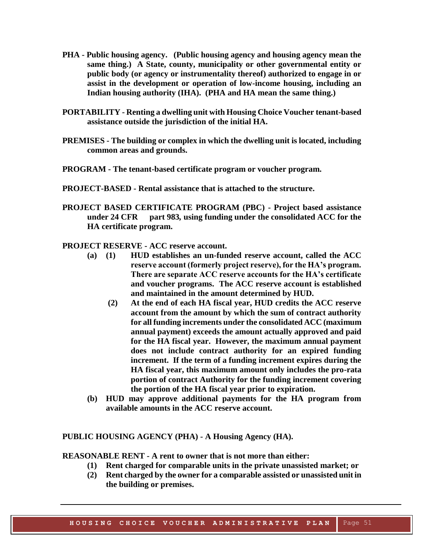- **PHA - Public housing agency. (Public housing agency and housing agency mean the same thing.) A State, county, municipality or other governmental entity or public body (or agency or instrumentality thereof) authorized to engage in or assist in the development or operation of low-income housing, including an Indian housing authority (IHA). (PHA and HA mean the same thing.)**
- **PORTABILITY - Renting a dwelling unit with Housing Choice Voucher tenant-based assistance outside the jurisdiction of the initial HA.**
- **PREMISES - The building or complex in which the dwelling unit is located, including common areas and grounds.**
- **PROGRAM - The tenant-based certificate program or voucher program.**
- **PROJECT-BASED - Rental assistance that is attached to the structure.**
- **PROJECT BASED CERTIFICATE PROGRAM (PBC) - Project based assistance under 24 CFR part 983***,* **using funding under the consolidated ACC for the HA certificate program.**
- **PROJECT RESERVE - ACC reserve account.** 
	- **(a) (1) HUD establishes an un-funded reserve account, called the ACC reserve account (formerly project reserve), for the HA's program. There are separate ACC reserve accounts for the HA's certificate and voucher programs. The ACC reserve account is established and maintained in the amount determined by HUD.**
		- **(2) At the end of each HA fiscal year, HUD credits the ACC reserve account from the amount by which the sum of contract authority for all funding increments under the consolidated ACC (maximum annual payment) exceeds the amount actually approved and paid for the HA fiscal year. However, the maximum annual payment does not include contract authority for an expired funding increment. If the term of a funding increment expires during the HA fiscal year, this maximum amount only includes the pro-rata portion of contract Authority for the funding increment covering the portion of the HA fiscal year prior to expiration.**
	- **(b) HUD may approve additional payments for the HA program from available amounts in the ACC reserve account.**

#### **PUBLIC HOUSING AGENCY (PHA) - A Housing Agency (HA).**

**REASONABLE RENT - A rent to owner that is not more than either:**

- **(1) Rent charged for comparable units in the private unassisted market; or**
- **(2) Rent charged by the owner for a comparable assisted or unassisted unit in the building or premises.**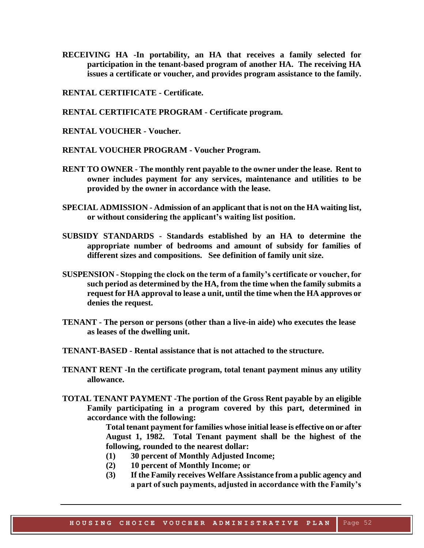- **RECEIVING HA -In portability, an HA that receives a family selected for participation in the tenant-based program of another HA. The receiving HA issues a certificate or voucher, and provides program assistance to the family.**
- **RENTAL CERTIFICATE - Certificate.**
- **RENTAL CERTIFICATE PROGRAM - Certificate program.**
- **RENTAL VOUCHER - Voucher.**
- **RENTAL VOUCHER PROGRAM - Voucher Program.**
- **RENT TO OWNER - The monthly rent payable to the owner under the lease. Rent to owner includes payment for any services, maintenance and utilities to be provided by the owner in accordance with the lease.**
- **SPECIAL ADMISSION - Admission of an applicant that is not on the HA waiting list, or without considering the applicant's waiting list position.**
- **SUBSIDY STANDARDS - Standards established by an HA to determine the appropriate number of bedrooms and amount of subsidy for families of different sizes and compositions. See definition of family unit size.**
- **SUSPENSION - Stopping the clock on the term of a family's certificate or voucher, for such period as determined by the HA, from the time when the family submits a request for HA approval to lease a unit, until the time when the HA approves or denies the request.**
- **TENANT - The person or persons (other than a live-in aide) who executes the lease as leases of the dwelling unit.**
- **TENANT-BASED - Rental assistance that is not attached to the structure.**
- **TENANT RENT -In the certificate program, total tenant payment minus any utility allowance.**
- **TOTAL TENANT PAYMENT -The portion of the Gross Rent payable by an eligible Family participating in a program covered by this part, determined in accordance with the following:**

**Total tenant payment for families whose initial lease is effective on or after August 1, 1982. Total Tenant payment shall be the highest of the following, rounded to the nearest dollar:**

- **(1) 30 percent of Monthly Adjusted Income;**
- **(2) 10 percent of Monthly Income; or**
- **(3) If the Family receives Welfare Assistance from a public agency and a part of such payments, adjusted in accordance with the Family's**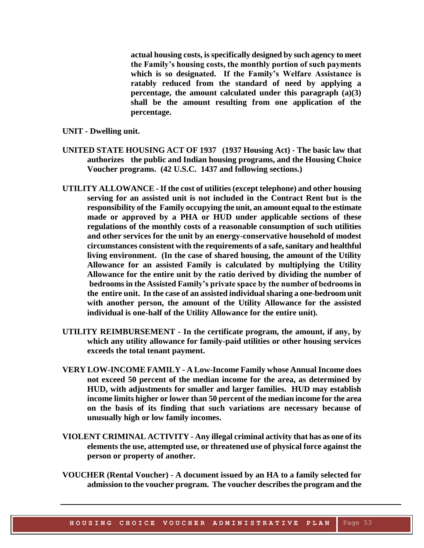**actual housing costs, is specifically designed by such agency to meet the Family's housing costs, the monthly portion of such payments which is so designated. If the Family's Welfare Assistance is ratably reduced from the standard of need by applying a percentage, the amount calculated under this paragraph (a)(3) shall be the amount resulting from one application of the percentage.**

- **UNIT - Dwelling unit.**
- **UNITED STATE HOUSING ACT OF 1937 (1937 Housing Act) - The basic law that authorizes the public and Indian housing programs, and the Housing Choice Voucher programs. (42 U.S.C. 1437 and following sections.)**
- **UTILITY ALLOWANCE -If the cost of utilities(except telephone) and other housing serving for an assisted unit is not included in the Contract Rent but is the responsibility of the Family occupying the unit, an amount equal to the estimate made or approved by a PHA or HUD under applicable sections of these regulations of the monthly costs of a reasonable consumption of such utilities and other services for the unit by an energy-conservative household of modest circumstances consistent with the requirements of a safe, sanitary and healthful living environment. (In the case of shared housing, the amount of the Utility Allowance for an assisted Family is calculated by multiplying the Utility Allowance for the entire unit by the ratio derived by dividing the number of bedrooms in the Assisted Family's private space by the number of bedrooms in the entire unit. In the case of an assisted individual sharing a one-bedroom unit with another person, the amount of the Utility Allowance for the assisted individual is one-half of the Utility Allowance for the entire unit).**
- **UTILITY REIMBURSEMENT - In the certificate program, the amount, if any, by which any utility allowance for family-paid utilities or other housing services exceeds the total tenant payment.**
- **VERY LOW-INCOME FAMILY - A Low-Income Family whose Annual Income does not exceed 50 percent of the median income for the area, as determined by HUD, with adjustments for smaller and larger families. HUD may establish income limits higher or lower than 50 percent of the median income for the area on the basis of its finding that such variations are necessary because of unusually high or low family incomes.**
- **VIOLENT CRIMINAL ACTIVITY - Any illegal criminal activity that has as one of its elements the use, attempted use, or threatened use of physical force against the person or property of another.**
- **VOUCHER (Rental Voucher) - A document issued by an HA to a family selected for admission to the voucher program. The voucher describes the program and the**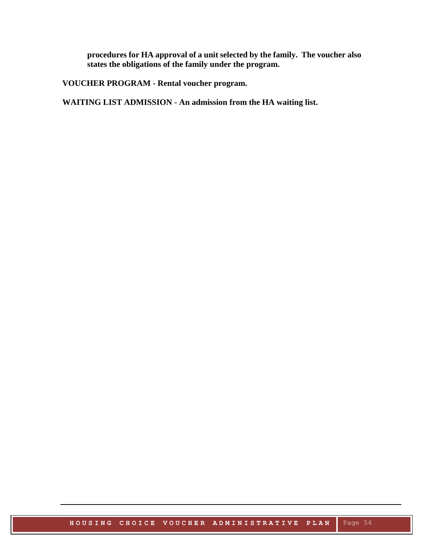**procedures for HA approval of a unit selected by the family. The voucher also states the obligations of the family under the program.**

**VOUCHER PROGRAM - Rental voucher program.**

**WAITING LIST ADMISSION - An admission from the HA waiting list.**

**HOUSING CHOICE VOUCHER ADMINISTRATIVE PLAN** Page 54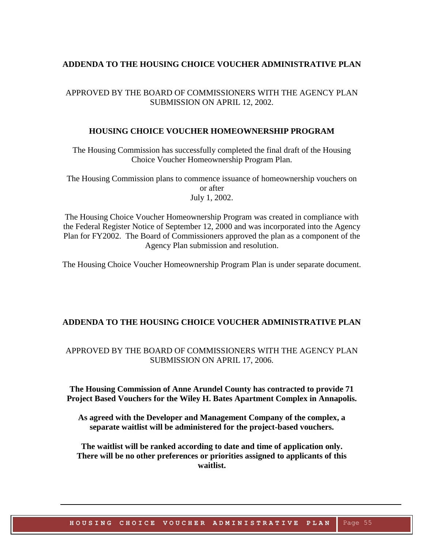#### **ADDENDA TO THE HOUSING CHOICE VOUCHER ADMINISTRATIVE PLAN**

#### APPROVED BY THE BOARD OF COMMISSIONERS WITH THE AGENCY PLAN SUBMISSION ON APRIL 12, 2002.

#### **HOUSING CHOICE VOUCHER HOMEOWNERSHIP PROGRAM**

The Housing Commission has successfully completed the final draft of the Housing Choice Voucher Homeownership Program Plan.

The Housing Commission plans to commence issuance of homeownership vouchers on or after July 1, 2002.

The Housing Choice Voucher Homeownership Program was created in compliance with the Federal Register Notice of September 12, 2000 and was incorporated into the Agency Plan for FY2002. The Board of Commissioners approved the plan as a component of the Agency Plan submission and resolution.

The Housing Choice Voucher Homeownership Program Plan is under separate document.

#### **ADDENDA TO THE HOUSING CHOICE VOUCHER ADMINISTRATIVE PLAN**

#### APPROVED BY THE BOARD OF COMMISSIONERS WITH THE AGENCY PLAN SUBMISSION ON APRIL 17, 2006.

**The Housing Commission of Anne Arundel County has contracted to provide 71 Project Based Vouchers for the Wiley H. Bates Apartment Complex in Annapolis.**

**As agreed with the Developer and Management Company of the complex, a separate waitlist will be administered for the project-based vouchers.**

**The waitlist will be ranked according to date and time of application only. There will be no other preferences or priorities assigned to applicants of this waitlist.**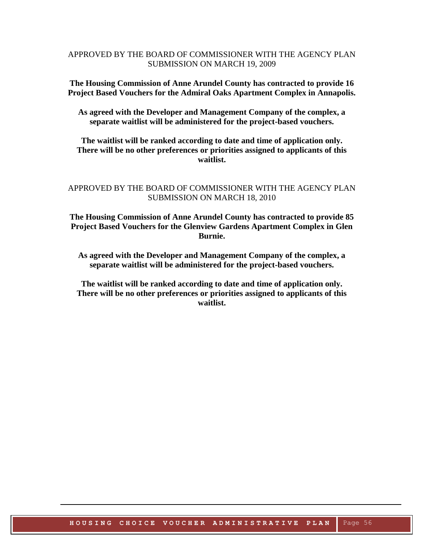#### APPROVED BY THE BOARD OF COMMISSIONER WITH THE AGENCY PLAN SUBMISSION ON MARCH 19, 2009

**The Housing Commission of Anne Arundel County has contracted to provide 16 Project Based Vouchers for the Admiral Oaks Apartment Complex in Annapolis.**

**As agreed with the Developer and Management Company of the complex, a separate waitlist will be administered for the project-based vouchers.**

**The waitlist will be ranked according to date and time of application only. There will be no other preferences or priorities assigned to applicants of this waitlist.**

#### APPROVED BY THE BOARD OF COMMISSIONER WITH THE AGENCY PLAN SUBMISSION ON MARCH 18, 2010

**The Housing Commission of Anne Arundel County has contracted to provide 85 Project Based Vouchers for the Glenview Gardens Apartment Complex in Glen Burnie.**

**As agreed with the Developer and Management Company of the complex, a separate waitlist will be administered for the project-based vouchers.**

**The waitlist will be ranked according to date and time of application only. There will be no other preferences or priorities assigned to applicants of this waitlist.**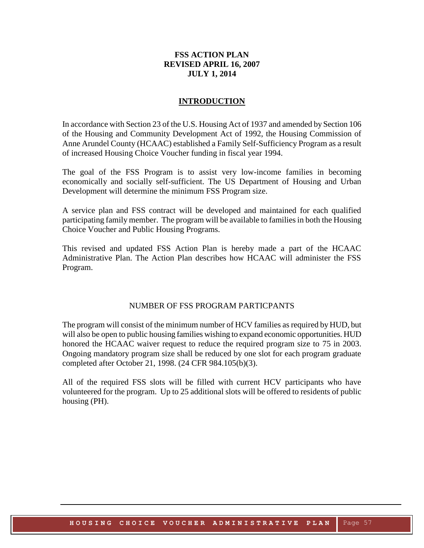#### **FSS ACTION PLAN REVISED APRIL 16, 2007 JULY 1, 2014**

#### **INTRODUCTION**

In accordance with Section 23 of the U.S. Housing Act of 1937 and amended by Section 106 of the Housing and Community Development Act of 1992, the Housing Commission of Anne Arundel County (HCAAC) established a Family Self-Sufficiency Program as a result of increased Housing Choice Voucher funding in fiscal year 1994.

The goal of the FSS Program is to assist very low-income families in becoming economically and socially self-sufficient. The US Department of Housing and Urban Development will determine the minimum FSS Program size.

A service plan and FSS contract will be developed and maintained for each qualified participating family member. The program will be available to families in both the Housing Choice Voucher and Public Housing Programs.

This revised and updated FSS Action Plan is hereby made a part of the HCAAC Administrative Plan. The Action Plan describes how HCAAC will administer the FSS Program.

#### NUMBER OF FSS PROGRAM PARTICPANTS

The program will consist of the minimum number of HCV families as required by HUD, but will also be open to public housing families wishing to expand economic opportunities. HUD honored the HCAAC waiver request to reduce the required program size to 75 in 2003. Ongoing mandatory program size shall be reduced by one slot for each program graduate completed after October 21, 1998. (24 CFR 984.105(b)(3).

All of the required FSS slots will be filled with current HCV participants who have volunteered for the program. Up to 25 additional slots will be offered to residents of public housing (PH).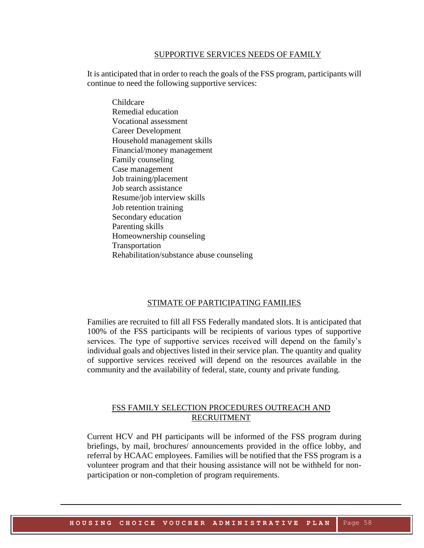#### SUPPORTIVE SERVICES NEEDS OF FAMILY

It is anticipated that in order to reach the goals of the FSS program, participants will continue to need the following supportive services:

Childcare Remedial education Vocational assessment Career Development Household management skills Financial/money management Family counseling Case management Job training/placement Job search assistance Resume/job interview skills Job retention training Secondary education Parenting skills Homeownership counseling Transportation Rehabilitation/substance abuse counseling

#### STIMATE OF PARTICIPATING FAMILIES

Families are recruited to fill all FSS Federally mandated slots. It is anticipated that 100% of the FSS participants will be recipients of various types of supportive services. The type of supportive services received will depend on the family's individual goals and objectives listed in their service plan. The quantity and quality of supportive services received will depend on the resources available in the community and the availability of federal, state, county and private funding.

#### FSS FAMILY SELECTION PROCEDURES OUTREACH AND RECRUITMENT

Current HCV and PH participants will be informed of the FSS program during briefings, by mail, brochures/ announcements provided in the office lobby, and referral by HCAAC employees. Families will be notified that the FSS program is a volunteer program and that their housing assistance will not be withheld for nonparticipation or non-completion of program requirements.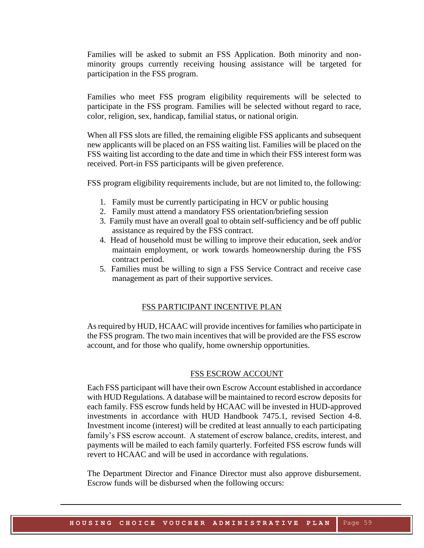Families will be asked to submit an FSS Application. Both minority and nonminority groups currently receiving housing assistance will be targeted for participation in the FSS program.

Families who meet FSS program eligibility requirements will be selected to participate in the FSS program. Families will be selected without regard to race, color, religion, sex, handicap, familial status, or national origin.

When all FSS slots are filled, the remaining eligible FSS applicants and subsequent new applicants will be placed on an FSS waiting list. Families will be placed on the FSS waiting list according to the date and time in which their FSS interest form was received. Port-in FSS participants will be given preference.

FSS program eligibility requirements include, but are not limited to, the following:

- 1. Family must be currently participating in HCV or public housing
- 2. Family must attend a mandatory FSS orientation/briefing session
- 3. Family must have an overall goal to obtain self-sufficiency and be off public assistance as required by the FSS contract.
- 4. Head of household must be willing to improve their education, seek and/or maintain employment, or work towards homeownership during the FSS contract period.
- 5. Families must be willing to sign a FSS Service Contract and receive case management as part of their supportive services.

#### FSS PARTICIPANT INCENTIVE PLAN

As required by HUD, HCAAC will provide incentives for families who participate in the FSS program. The two main incentives that will be provided are the FSS escrow account, and for those who qualify, home ownership opportunities.

#### FSS ESCROW ACCOUNT

Each FSS participant will have their own Escrow Account established in accordance with HUD Regulations. A database will be maintained to record escrow deposits for each family. FSS escrow funds held by HCAAC will be invested in HUD-approved investments in accordance with HUD Handbook 7475.1, revised Section 4-8. Investment income (interest) will be credited at least annually to each participating family's FSS escrow account. A statement of escrow balance, credits, interest, and payments will be mailed to each family quarterly. Forfeited FSS escrow funds will revert to HCAAC and will be used in accordance with regulations.

The Department Director and Finance Director must also approve disbursement. Escrow funds will be disbursed when the following occurs: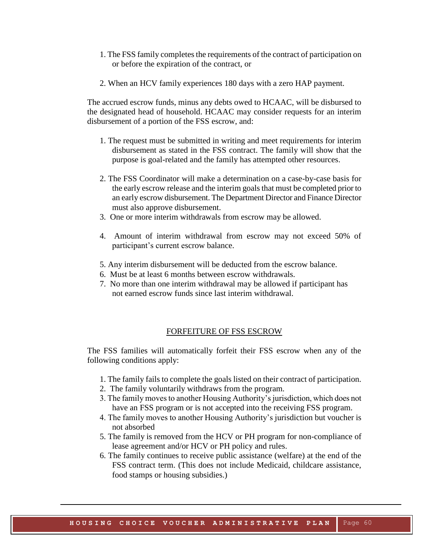- 1. The FSS family completes the requirements of the contract of participation on or before the expiration of the contract, or
- 2. When an HCV family experiences 180 days with a zero HAP payment.

The accrued escrow funds, minus any debts owed to HCAAC, will be disbursed to the designated head of household. HCAAC may consider requests for an interim disbursement of a portion of the FSS escrow, and:

- 1. The request must be submitted in writing and meet requirements for interim disbursement as stated in the FSS contract. The family will show that the purpose is goal-related and the family has attempted other resources.
- 2. The FSS Coordinator will make a determination on a case-by-case basis for the early escrow release and the interim goals that must be completed prior to an early escrow disbursement. The Department Director and Finance Director must also approve disbursement.
- 3. One or more interim withdrawals from escrow may be allowed.
- 4. Amount of interim withdrawal from escrow may not exceed 50% of participant's current escrow balance.
- 5. Any interim disbursement will be deducted from the escrow balance.
- 6. Must be at least 6 months between escrow withdrawals.
- 7. No more than one interim withdrawal may be allowed if participant has not earned escrow funds since last interim withdrawal.

#### FORFEITURE OF FSS ESCROW

The FSS families will automatically forfeit their FSS escrow when any of the following conditions apply:

- 1. The family fails to complete the goals listed on their contract of participation.
- 2. The family voluntarily withdraws from the program.
- 3. The family moves to another Housing Authority's jurisdiction, which does not have an FSS program or is not accepted into the receiving FSS program.
- 4. The family moves to another Housing Authority's jurisdiction but voucher is not absorbed
- 5. The family is removed from the HCV or PH program for non-compliance of lease agreement and/or HCV or PH policy and rules.
- 6. The family continues to receive public assistance (welfare) at the end of the FSS contract term. (This does not include Medicaid, childcare assistance, food stamps or housing subsidies.)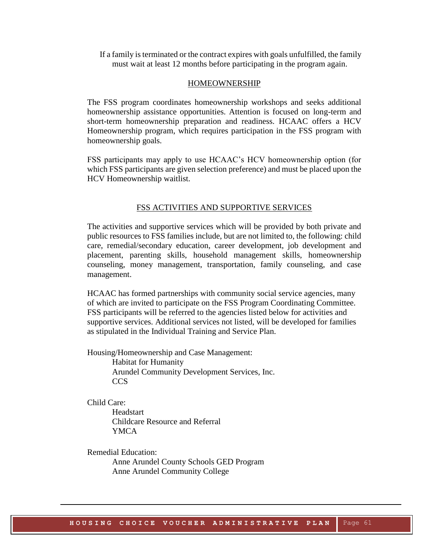If a family is terminated or the contract expires with goals unfulfilled, the family must wait at least 12 months before participating in the program again.

#### HOMEOWNERSHIP

The FSS program coordinates homeownership workshops and seeks additional homeownership assistance opportunities. Attention is focused on long-term and short-term homeownership preparation and readiness. HCAAC offers a HCV Homeownership program, which requires participation in the FSS program with homeownership goals.

FSS participants may apply to use HCAAC's HCV homeownership option (for which FSS participants are given selection preference) and must be placed upon the HCV Homeownership waitlist.

#### FSS ACTIVITIES AND SUPPORTIVE SERVICES

The activities and supportive services which will be provided by both private and public resources to FSS families include, but are not limited to, the following: child care, remedial/secondary education, career development, job development and placement, parenting skills, household management skills, homeownership counseling, money management, transportation, family counseling, and case management.

HCAAC has formed partnerships with community social service agencies, many of which are invited to participate on the FSS Program Coordinating Committee. FSS participants will be referred to the agencies listed below for activities and supportive services. Additional services not listed, will be developed for families as stipulated in the Individual Training and Service Plan.

Housing/Homeownership and Case Management: Habitat for Humanity Arundel Community Development Services, Inc. **CCS** 

Child Care:

**Headstart** Childcare Resource and Referral YMCA

Remedial Education: Anne Arundel County Schools GED Program Anne Arundel Community College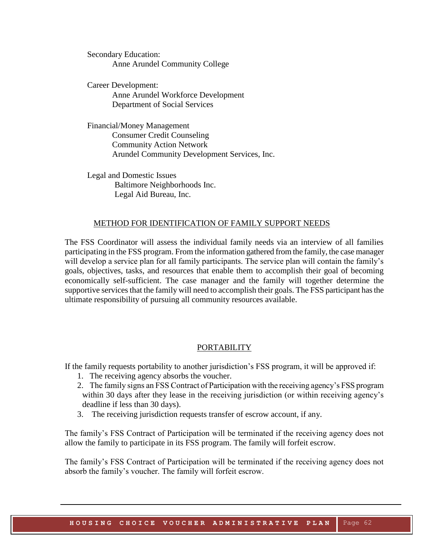Secondary Education: Anne Arundel Community College

Career Development: Anne Arundel Workforce Development Department of Social Services

Financial/Money Management Consumer Credit Counseling Community Action Network Arundel Community Development Services, Inc.

Legal and Domestic Issues Baltimore Neighborhoods Inc. Legal Aid Bureau, Inc.

#### METHOD FOR IDENTIFICATION OF FAMILY SUPPORT NEEDS

The FSS Coordinator will assess the individual family needs via an interview of all families participating in the FSS program. From the information gathered from the family, the case manager will develop a service plan for all family participants. The service plan will contain the family's goals, objectives, tasks, and resources that enable them to accomplish their goal of becoming economically self-sufficient. The case manager and the family will together determine the supportive services that the family will need to accomplish their goals. The FSS participant has the ultimate responsibility of pursuing all community resources available.

#### PORTABILITY

If the family requests portability to another jurisdiction's FSS program, it will be approved if:

- 1. The receiving agency absorbs the voucher.
- 2. The family signs an FSS Contract of Participation with the receiving agency's FSS program within 30 days after they lease in the receiving jurisdiction (or within receiving agency's deadline if less than 30 days).
- 3. The receiving jurisdiction requests transfer of escrow account, if any.

The family's FSS Contract of Participation will be terminated if the receiving agency does not allow the family to participate in its FSS program. The family will forfeit escrow.

The family's FSS Contract of Participation will be terminated if the receiving agency does not absorb the family's voucher. The family will forfeit escrow.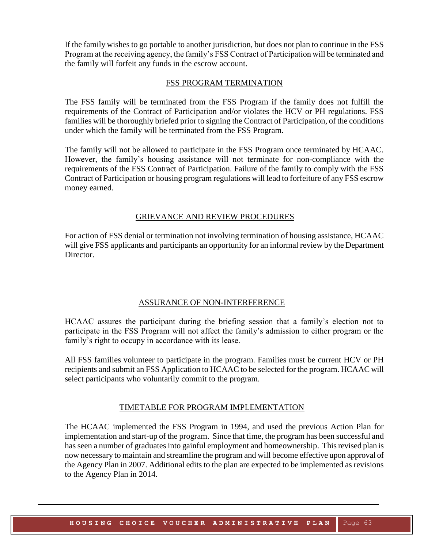If the family wishes to go portable to another jurisdiction, but does not plan to continue in the FSS Program at the receiving agency, the family's FSS Contract of Participation will be terminated and the family will forfeit any funds in the escrow account.

#### FSS PROGRAM TERMINATION

The FSS family will be terminated from the FSS Program if the family does not fulfill the requirements of the Contract of Participation and/or violates the HCV or PH regulations. FSS families will be thoroughly briefed prior to signing the Contract of Participation, of the conditions under which the family will be terminated from the FSS Program.

The family will not be allowed to participate in the FSS Program once terminated by HCAAC. However, the family's housing assistance will not terminate for non-compliance with the requirements of the FSS Contract of Participation. Failure of the family to comply with the FSS Contract of Participation or housing program regulations will lead to forfeiture of any FSS escrow money earned.

#### GRIEVANCE AND REVIEW PROCEDURES

For action of FSS denial or termination not involving termination of housing assistance, HCAAC will give FSS applicants and participants an opportunity for an informal review by the Department Director.

#### ASSURANCE OF NON-INTERFERENCE

HCAAC assures the participant during the briefing session that a family's election not to participate in the FSS Program will not affect the family's admission to either program or the family's right to occupy in accordance with its lease.

All FSS families volunteer to participate in the program. Families must be current HCV or PH recipients and submit an FSS Application to HCAAC to be selected for the program. HCAAC will select participants who voluntarily commit to the program.

#### TIMETABLE FOR PROGRAM IMPLEMENTATION

The HCAAC implemented the FSS Program in 1994, and used the previous Action Plan for implementation and start-up of the program. Since that time, the program has been successful and has seen a number of graduates into gainful employment and homeownership. This revised plan is now necessary to maintain and streamline the program and will become effective upon approval of the Agency Plan in 2007. Additional edits to the plan are expected to be implemented as revisions to the Agency Plan in 2014.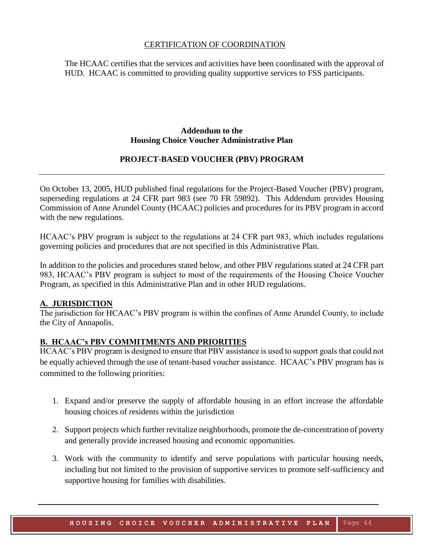#### CERTIFICATION OF COORDINATION

The HCAAC certifies that the services and activities have been coordinated with the approval of HUD. HCAAC is committed to providing quality supportive services to FSS participants.

#### **Addendum to the Housing Choice Voucher Administrative Plan**

#### **PROJECT-BASED VOUCHER (PBV) PROGRAM**

On October 13, 2005, HUD published final regulations for the Project-Based Voucher (PBV) program, superseding regulations at 24 CFR part 983 (see 70 FR 59892). This Addendum provides Housing Commission of Anne Arundel County (HCAAC) policies and procedures for its PBV program in accord with the new regulations.

HCAAC's PBV program is subject to the regulations at 24 CFR part 983, which includes regulations governing policies and procedures that are not specified in this Administrative Plan.

In addition to the policies and procedures stated below, and other PBV regulations stated at 24 CFR part 983, HCAAC's PBV program is subject to most of the requirements of the Housing Choice Voucher Program, as specified in this Administrative Plan and in other HUD regulations.

#### **A. JURISDICTION**

The jurisdiction for HCAAC's PBV program is within the confines of Anne Arundel County, to include the City of Annapolis.

#### **B. HCAAC's PBV COMMITMENTS AND PRIORITIES**

HCAAC's PBV program is designed to ensure that PBV assistance is used to support goals that could not be equally achieved through the use of tenant-based voucher assistance. HCAAC's PBV program has is committed to the following priorities:

- 1. Expand and/or preserve the supply of affordable housing in an effort increase the affordable housing choices of residents within the jurisdiction
- 2. Support projects which further revitalize neighborhoods, promote the de-concentration of poverty and generally provide increased housing and economic opportunities.
- 3. Work with the community to identify and serve populations with particular housing needs, including but not limited to the provision of supportive services to promote self-sufficiency and supportive housing for families with disabilities.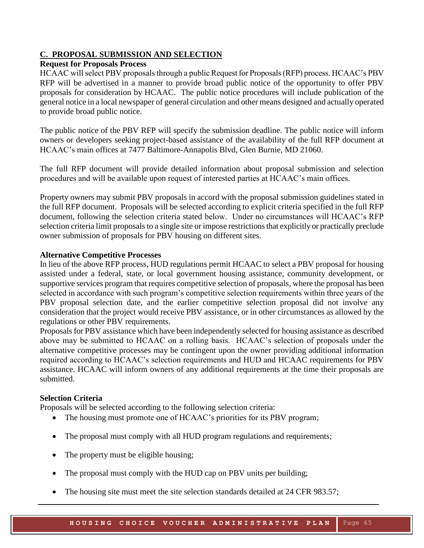#### **C. PROPOSAL SUBMISSION AND SELECTION**

#### **Request for Proposals Process**

HCAAC will select PBV proposals through a public Request for Proposals (RFP) process. HCAAC's PBV RFP will be advertised in a manner to provide broad public notice of the opportunity to offer PBV proposals for consideration by HCAAC. The public notice procedures will include publication of the general notice in a local newspaper of general circulation and other means designed and actually operated to provide broad public notice.

The public notice of the PBV RFP will specify the submission deadline. The public notice will inform owners or developers seeking project-based assistance of the availability of the full RFP document at HCAAC's main offices at 7477 Baltimore-Annapolis Blvd, Glen Burnie, MD 21060.

The full RFP document will provide detailed information about proposal submission and selection procedures and will be available upon request of interested parties at HCAAC's main offices.

Property owners may submit PBV proposals in accord with the proposal submission guidelines stated in the full RFP document. Proposals will be selected according to explicit criteria specified in the full RFP document, following the selection criteria stated below. Under no circumstances will HCAAC's RFP selection criteria limit proposals to a single site or impose restrictions that explicitly or practically preclude owner submission of proposals for PBV housing on different sites.

#### **Alternative Competitive Processes**

In lieu of the above RFP process, HUD regulations permit HCAAC to select a PBV proposal for housing assisted under a federal, state, or local government housing assistance, community development, or supportive services program that requires competitive selection of proposals, where the proposal has been selected in accordance with such program's competitive selection requirements within three years of the PBV proposal selection date, and the earlier competitive selection proposal did not involve any consideration that the project would receive PBV assistance, or in other circumstances as allowed by the regulations or other PBV requirements.

Proposals for PBV assistance which have been independently selected for housing assistance as described above may be submitted to HCAAC on a rolling basis. HCAAC's selection of proposals under the alternative competitive processes may be contingent upon the owner providing additional information required according to HCAAC's selection requirements and HUD and HCAAC requirements for PBV assistance. HCAAC will inform owners of any additional requirements at the time their proposals are submitted.

#### **Selection Criteria**

Proposals will be selected according to the following selection criteria:

- The housing must promote one of HCAAC's priorities for its PBV program;
- The proposal must comply with all HUD program regulations and requirements;
- The property must be eligible housing;
- The proposal must comply with the HUD cap on PBV units per building;
- The housing site must meet the site selection standards detailed at 24 CFR 983.57;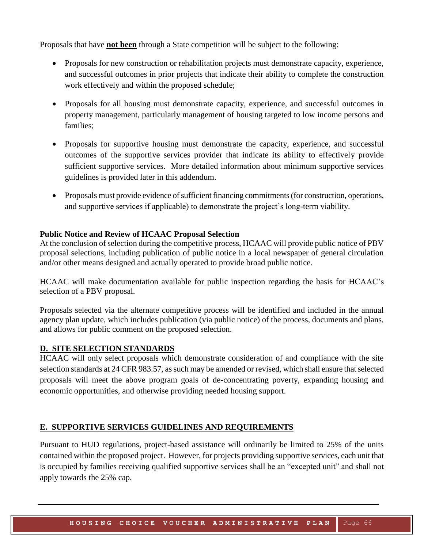Proposals that have **not been** through a State competition will be subject to the following:

- Proposals for new construction or rehabilitation projects must demonstrate capacity, experience, and successful outcomes in prior projects that indicate their ability to complete the construction work effectively and within the proposed schedule;
- Proposals for all housing must demonstrate capacity, experience, and successful outcomes in property management, particularly management of housing targeted to low income persons and families;
- Proposals for supportive housing must demonstrate the capacity, experience, and successful outcomes of the supportive services provider that indicate its ability to effectively provide sufficient supportive services. More detailed information about minimum supportive services guidelines is provided later in this addendum.
- Proposals must provide evidence of sufficient financing commitments (for construction, operations, and supportive services if applicable) to demonstrate the project's long-term viability.

#### **Public Notice and Review of HCAAC Proposal Selection**

At the conclusion of selection during the competitive process, HCAAC will provide public notice of PBV proposal selections, including publication of public notice in a local newspaper of general circulation and/or other means designed and actually operated to provide broad public notice.

HCAAC will make documentation available for public inspection regarding the basis for HCAAC's selection of a PBV proposal.

Proposals selected via the alternate competitive process will be identified and included in the annual agency plan update, which includes publication (via public notice) of the process, documents and plans, and allows for public comment on the proposed selection.

#### **D. SITE SELECTION STANDARDS**

HCAAC will only select proposals which demonstrate consideration of and compliance with the site selection standards at 24 CFR 983.57, as such may be amended or revised, which shall ensure that selected proposals will meet the above program goals of de-concentrating poverty, expanding housing and economic opportunities, and otherwise providing needed housing support.

#### **E. SUPPORTIVE SERVICES GUIDELINES AND REQUIREMENTS**

Pursuant to HUD regulations, project-based assistance will ordinarily be limited to 25% of the units contained within the proposed project. However, for projects providing supportive services, each unit that is occupied by families receiving qualified supportive services shall be an "excepted unit" and shall not apply towards the 25% cap.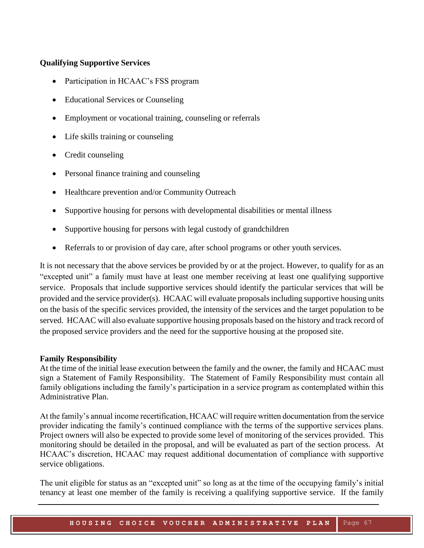#### **Qualifying Supportive Services**

- Participation in HCAAC's FSS program
- Educational Services or Counseling
- Employment or vocational training, counseling or referrals
- Life skills training or counseling
- Credit counseling
- Personal finance training and counseling
- Healthcare prevention and/or Community Outreach
- Supportive housing for persons with developmental disabilities or mental illness
- Supportive housing for persons with legal custody of grandchildren
- Referrals to or provision of day care, after school programs or other youth services.

It is not necessary that the above services be provided by or at the project. However, to qualify for as an "excepted unit" a family must have at least one member receiving at least one qualifying supportive service. Proposals that include supportive services should identify the particular services that will be provided and the service provider(s). HCAAC will evaluate proposals including supportive housing units on the basis of the specific services provided, the intensity of the services and the target population to be served. HCAAC will also evaluate supportive housing proposals based on the history and track record of the proposed service providers and the need for the supportive housing at the proposed site.

#### **Family Responsibility**

At the time of the initial lease execution between the family and the owner, the family and HCAAC must sign a Statement of Family Responsibility. The Statement of Family Responsibility must contain all family obligations including the family's participation in a service program as contemplated within this Administrative Plan.

At the family's annual income recertification, HCAAC will require written documentation from the service provider indicating the family's continued compliance with the terms of the supportive services plans. Project owners will also be expected to provide some level of monitoring of the services provided. This monitoring should be detailed in the proposal, and will be evaluated as part of the section process. At HCAAC's discretion, HCAAC may request additional documentation of compliance with supportive service obligations.

The unit eligible for status as an "excepted unit" so long as at the time of the occupying family's initial tenancy at least one member of the family is receiving a qualifying supportive service. If the family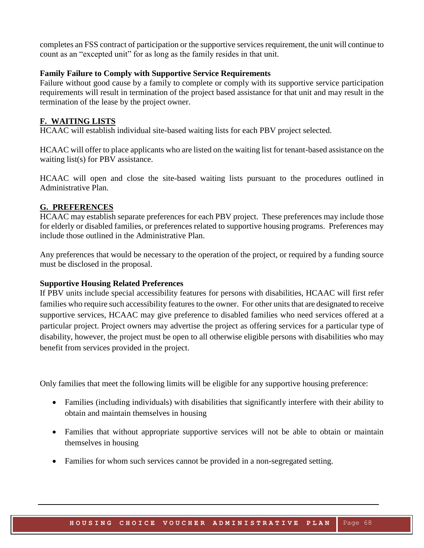completes an FSS contract of participation or the supportive services requirement, the unit will continue to count as an "excepted unit" for as long as the family resides in that unit.

#### **Family Failure to Comply with Supportive Service Requirements**

Failure without good cause by a family to complete or comply with its supportive service participation requirements will result in termination of the project based assistance for that unit and may result in the termination of the lease by the project owner.

#### **F. WAITING LISTS**

HCAAC will establish individual site-based waiting lists for each PBV project selected.

HCAAC will offer to place applicants who are listed on the waiting list for tenant-based assistance on the waiting list(s) for PBV assistance.

HCAAC will open and close the site-based waiting lists pursuant to the procedures outlined in Administrative Plan.

#### **G. PREFERENCES**

HCAAC may establish separate preferences for each PBV project. These preferences may include those for elderly or disabled families, or preferences related to supportive housing programs. Preferences may include those outlined in the Administrative Plan.

Any preferences that would be necessary to the operation of the project, or required by a funding source must be disclosed in the proposal.

#### **Supportive Housing Related Preferences**

If PBV units include special accessibility features for persons with disabilities, HCAAC will first refer families who require such accessibility features to the owner. For other units that are designated to receive supportive services, HCAAC may give preference to disabled families who need services offered at a particular project. Project owners may advertise the project as offering services for a particular type of disability, however, the project must be open to all otherwise eligible persons with disabilities who may benefit from services provided in the project.

Only families that meet the following limits will be eligible for any supportive housing preference:

- Families (including individuals) with disabilities that significantly interfere with their ability to obtain and maintain themselves in housing
- Families that without appropriate supportive services will not be able to obtain or maintain themselves in housing
- Families for whom such services cannot be provided in a non-segregated setting.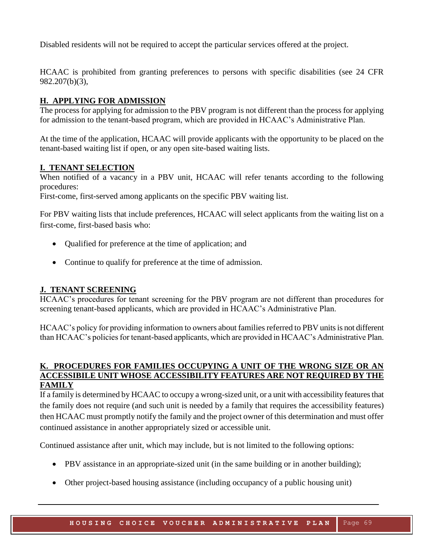Disabled residents will not be required to accept the particular services offered at the project.

HCAAC is prohibited from granting preferences to persons with specific disabilities (see 24 CFR 982.207(b)(3),

#### **H. APPLYING FOR ADMISSION**

The process for applying for admission to the PBV program is not different than the process for applying for admission to the tenant-based program, which are provided in HCAAC's Administrative Plan.

At the time of the application, HCAAC will provide applicants with the opportunity to be placed on the tenant-based waiting list if open, or any open site-based waiting lists.

#### **I. TENANT SELECTION**

When notified of a vacancy in a PBV unit, HCAAC will refer tenants according to the following procedures:

First-come, first-served among applicants on the specific PBV waiting list.

For PBV waiting lists that include preferences, HCAAC will select applicants from the waiting list on a first-come, first-based basis who:

- Qualified for preference at the time of application; and
- Continue to qualify for preference at the time of admission.

#### **J. TENANT SCREENING**

HCAAC's procedures for tenant screening for the PBV program are not different than procedures for screening tenant-based applicants, which are provided in HCAAC's Administrative Plan.

HCAAC's policy for providing information to owners about families referred to PBV units is not different than HCAAC's policies for tenant-based applicants, which are provided in HCAAC's Administrative Plan.

#### **K. PROCEDURES FOR FAMILIES OCCUPYING A UNIT OF THE WRONG SIZE OR AN ACCESSIBILE UNIT WHOSE ACCESSIBILITY FEATURES ARE NOT REQUIRED BY THE FAMILY**

If a family is determined by HCAAC to occupy a wrong-sized unit, or a unit with accessibility features that the family does not require (and such unit is needed by a family that requires the accessibility features) then HCAAC must promptly notify the family and the project owner of this determination and must offer continued assistance in another appropriately sized or accessible unit.

Continued assistance after unit, which may include, but is not limited to the following options:

- PBV assistance in an appropriate-sized unit (in the same building or in another building);
- Other project-based housing assistance (including occupancy of a public housing unit)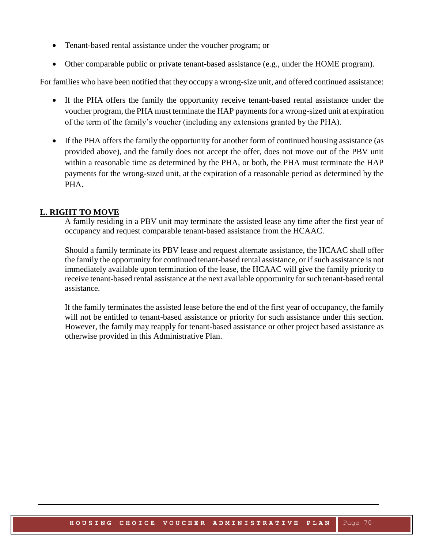- Tenant-based rental assistance under the voucher program; or
- Other comparable public or private tenant-based assistance (e.g., under the HOME program).

For families who have been notified that they occupy a wrong-size unit, and offered continued assistance:

- If the PHA offers the family the opportunity receive tenant-based rental assistance under the voucher program, the PHA must terminate the HAP payments for a wrong-sized unit at expiration of the term of the family's voucher (including any extensions granted by the PHA).
- If the PHA offers the family the opportunity for another form of continued housing assistance (as provided above), and the family does not accept the offer, does not move out of the PBV unit within a reasonable time as determined by the PHA, or both, the PHA must terminate the HAP payments for the wrong-sized unit, at the expiration of a reasonable period as determined by the PHA.

#### **L. RIGHT TO MOVE**

A family residing in a PBV unit may terminate the assisted lease any time after the first year of occupancy and request comparable tenant-based assistance from the HCAAC.

Should a family terminate its PBV lease and request alternate assistance, the HCAAC shall offer the family the opportunity for continued tenant-based rental assistance, or if such assistance is not immediately available upon termination of the lease, the HCAAC will give the family priority to receive tenant-based rental assistance at the next available opportunity for such tenant-based rental assistance.

If the family terminates the assisted lease before the end of the first year of occupancy, the family will not be entitled to tenant-based assistance or priority for such assistance under this section. However, the family may reapply for tenant-based assistance or other project based assistance as otherwise provided in this Administrative Plan.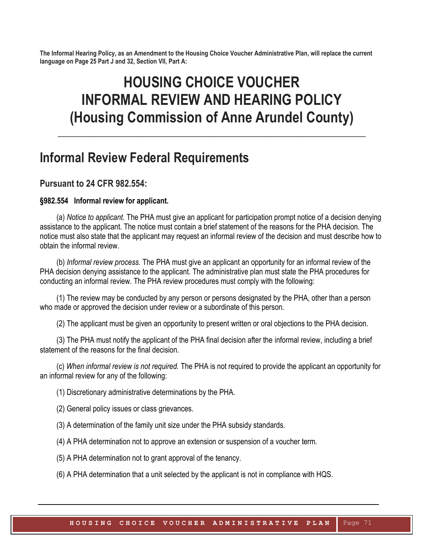**The Informal Hearing Policy, as an Amendment to the Housing Choice Voucher Administrative Plan, will replace the current language on Page 25 Part J and 32, Section VII, Part A:**

# **HOUSING CHOICE VOUCHER INFORMAL REVIEW AND HEARING POLICY (Housing Commission of Anne Arundel County)**

**\_\_\_\_\_\_\_\_\_\_\_\_\_\_\_\_\_\_\_\_\_\_\_\_\_\_\_\_\_\_\_\_\_\_\_\_\_\_\_\_\_\_\_\_\_\_\_\_\_\_\_\_\_\_\_\_\_\_\_\_\_**

## **Informal Review Federal Requirements**

### **Pursuant to 24 CFR 982.554:**

#### **§982.554 Informal review for applicant.**

(a) *Notice to applicant.* The PHA must give an applicant for participation prompt notice of a decision denying assistance to the applicant. The notice must contain a brief statement of the reasons for the PHA decision. The notice must also state that the applicant may request an informal review of the decision and must describe how to obtain the informal review.

(b) *Informal review process.* The PHA must give an applicant an opportunity for an informal review of the PHA decision denying assistance to the applicant. The administrative plan must state the PHA procedures for conducting an informal review. The PHA review procedures must comply with the following:

(1) The review may be conducted by any person or persons designated by the PHA, other than a person who made or approved the decision under review or a subordinate of this person.

(2) The applicant must be given an opportunity to present written or oral objections to the PHA decision.

(3) The PHA must notify the applicant of the PHA final decision after the informal review, including a brief statement of the reasons for the final decision.

(c) *When informal review is not required.* The PHA is not required to provide the applicant an opportunity for an informal review for any of the following:

(1) Discretionary administrative determinations by the PHA.

(2) General policy issues or class grievances.

(3) A determination of the family unit size under the PHA subsidy standards.

(4) A PHA determination not to approve an extension or suspension of a voucher term.

(5) A PHA determination not to grant approval of the tenancy.

(6) A PHA determination that a unit selected by the applicant is not in compliance with HQS.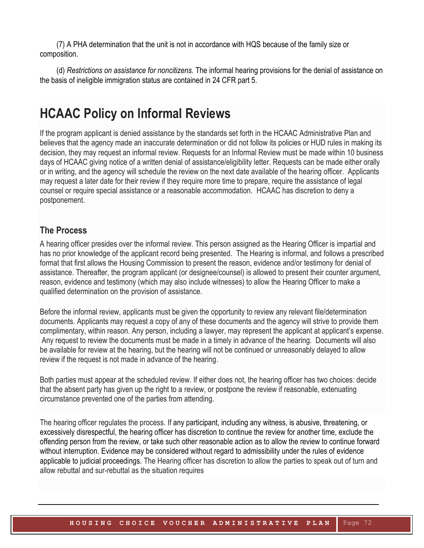(7) A PHA determination that the unit is not in accordance with HQS because of the family size or composition.

(d) *Restrictions on assistance for noncitizens.* The informal hearing provisions for the denial of assistance on the basis of ineligible immigration status are contained in 24 CFR part 5.

## **HCAAC Policy on Informal Reviews**

If the program applicant is denied assistance by the standards set forth in the HCAAC Administrative Plan and believes that the agency made an inaccurate determination or did not follow its policies or HUD rules in making its decision, they may request an informal review. Requests for an Informal Review must be made within 10 business days of HCAAC giving notice of a written denial of assistance/eligibility letter. Requests can be made either orally or in writing, and the agency will schedule the review on the next date available of the hearing officer. Applicants may request a later date for their review if they require more time to prepare, require the assistance of legal counsel or require special assistance or a reasonable accommodation. HCAAC has discretion to deny a postponement.

## **The Process**

A hearing officer presides over the informal review. This person assigned as the Hearing Officer is impartial and has no prior knowledge of the applicant record being presented. The Hearing is informal, and follows a prescribed format that first allows the Housing Commission to present the reason, evidence and/or testimony for denial of assistance. Thereafter, the program applicant (or designee/counsel) is allowed to present their counter argument, reason, evidence and testimony (which may also include witnesses) to allow the Hearing Officer to make a qualified determination on the provision of assistance.

Before the informal review, applicants must be given the opportunity to review any relevant file/determination documents. Applicants may request a copy of any of these documents and the agency will strive to provide them complimentary, within reason. Any person, including a lawyer, may represent the applicant at applicant's expense. Any request to review the documents must be made in a timely in advance of the hearing. Documents will also be available for review at the hearing, but the hearing will not be continued or unreasonably delayed to allow review if the request is not made in advance of the hearing.

Both parties must appear at the scheduled review. If either does not, the hearing officer has two choices: decide that the absent party has given up the right to a review, or postpone the review if reasonable, extenuating circumstance prevented one of the parties from attending.

The hearing officer regulates the process. If any participant, including any witness, is abusive, threatening, or excessively disrespectful, the hearing officer has discretion to continue the review for another time, exclude the offending person from the review, or take such other reasonable action as to allow the review to continue forward without interruption. Evidence may be considered without regard to admissibility under the rules of evidence applicable to judicial proceedings. The Hearing officer has discretion to allow the parties to speak out of turn and allow rebuttal and sur-rebuttal as the situation requires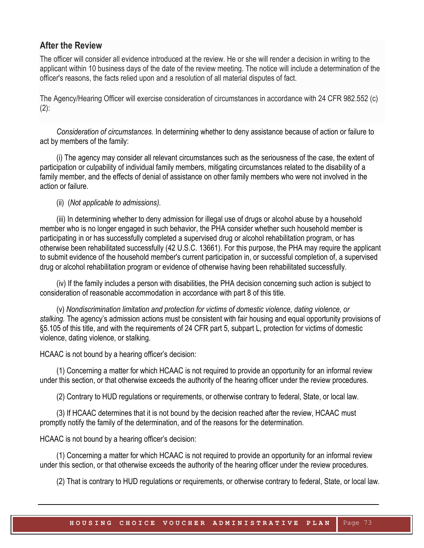### **After the Review**

The officer will consider all evidence introduced at the review. He or she will render a decision in writing to the applicant within 10 business days of the date of the review meeting. The notice will include a determination of the officer's reasons, the facts relied upon and a resolution of all material disputes of fact.

The Agency/Hearing Officer will exercise consideration of circumstances in accordance with 24 CFR 982.552 (c)  $(2)$ :

*Consideration of circumstances.* In determining whether to deny assistance because of action or failure to act by members of the family:

(i) The agency may consider all relevant circumstances such as the seriousness of the case, the extent of participation or culpability of individual family members, mitigating circumstances related to the disability of a family member, and the effects of denial of assistance on other family members who were not involved in the action or failure.

(ii) (*Not applicable to admissions).*

(iii) In determining whether to deny admission for illegal use of drugs or alcohol abuse by a household member who is no longer engaged in such behavior, the PHA consider whether such household member is participating in or has successfully completed a supervised drug or alcohol rehabilitation program, or has otherwise been rehabilitated successfully (42 U.S.C. 13661). For this purpose, the PHA may require the applicant to submit evidence of the household member's current participation in, or successful completion of, a supervised drug or alcohol rehabilitation program or evidence of otherwise having been rehabilitated successfully.

(iv) If the family includes a person with disabilities, the PHA decision concerning such action is subject to consideration of reasonable accommodation in accordance with part 8 of this title.

(v) *Nondiscrimination limitation and protection for victims of domestic violence, dating violence, or stalking.* The agency's admission actions must be consistent with fair housing and equal opportunity provisions of §5.105 of this title, and with the requirements of 24 CFR part 5, subpart L, protection for victims of domestic violence, dating violence, or stalking.

HCAAC is not bound by a hearing officer's decision:

(1) Concerning a matter for which HCAAC is not required to provide an opportunity for an informal review under this section, or that otherwise exceeds the authority of the hearing officer under the review procedures.

(2) Contrary to HUD regulations or requirements, or otherwise contrary to federal, State, or local law.

(3) If HCAAC determines that it is not bound by the decision reached after the review, HCAAC must promptly notify the family of the determination, and of the reasons for the determination.

HCAAC is not bound by a hearing officer's decision:

(1) Concerning a matter for which HCAAC is not required to provide an opportunity for an informal review under this section, or that otherwise exceeds the authority of the hearing officer under the review procedures.

(2) That is contrary to HUD regulations or requirements, or otherwise contrary to federal, State, or local law.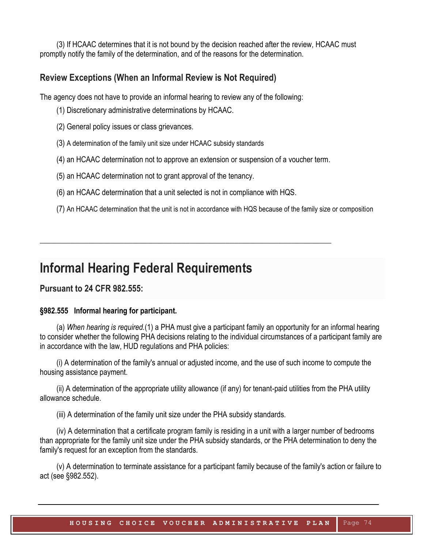(3) If HCAAC determines that it is not bound by the decision reached after the review, HCAAC must promptly notify the family of the determination, and of the reasons for the determination.

### **Review Exceptions (When an Informal Review is Not Required)**

The agency does not have to provide an informal hearing to review any of the following:

- (1) Discretionary administrative determinations by HCAAC.
- (2) General policy issues or class grievances.
- (3) A determination of the family unit size under HCAAC subsidy standards
- (4) an HCAAC determination not to approve an extension or suspension of a voucher term.
- (5) an HCAAC determination not to grant approval of the tenancy.
- (6) an HCAAC determination that a unit selected is not in compliance with HQS.

**\_\_\_\_\_\_\_\_\_\_\_\_\_\_\_\_\_\_\_\_\_\_\_\_\_\_\_\_\_\_\_\_\_\_\_\_\_\_\_\_\_\_\_\_\_\_\_\_\_\_\_\_\_\_\_\_\_\_\_\_\_\_\_\_\_\_**

(7) An HCAAC determination that the unit is not in accordance with HQS because of the family size or composition

## **Informal Hearing Federal Requirements**

**Pursuant to 24 CFR 982.555:**

#### **§982.555 Informal hearing for participant.**

(a) *When hearing is required.*(1) a PHA must give a participant family an opportunity for an informal hearing to consider whether the following PHA decisions relating to the individual circumstances of a participant family are in accordance with the law, HUD regulations and PHA policies:

(i) A determination of the family's annual or adjusted income, and the use of such income to compute the housing assistance payment.

(ii) A determination of the appropriate utility allowance (if any) for tenant-paid utilities from the PHA utility allowance schedule.

(iii) A determination of the family unit size under the PHA subsidy standards.

(iv) A determination that a certificate program family is residing in a unit with a larger number of bedrooms than appropriate for the family unit size under the PHA subsidy standards, or the PHA determination to deny the family's request for an exception from the standards.

(v) A determination to terminate assistance for a participant family because of the family's action or failure to act (see §982.552).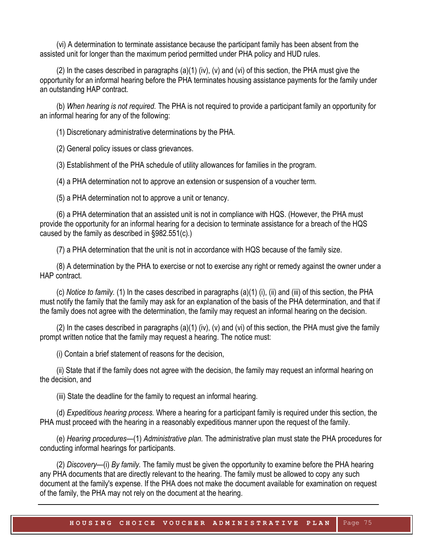(vi) A determination to terminate assistance because the participant family has been absent from the assisted unit for longer than the maximum period permitted under PHA policy and HUD rules.

 $(2)$  In the cases described in paragraphs  $(a)(1)$  (iv),  $(v)$  and  $(vi)$  of this section, the PHA must give the opportunity for an informal hearing before the PHA terminates housing assistance payments for the family under an outstanding HAP contract.

(b) *When hearing is not required.* The PHA is not required to provide a participant family an opportunity for an informal hearing for any of the following:

(1) Discretionary administrative determinations by the PHA.

(2) General policy issues or class grievances.

(3) Establishment of the PHA schedule of utility allowances for families in the program.

(4) a PHA determination not to approve an extension or suspension of a voucher term.

(5) a PHA determination not to approve a unit or tenancy.

(6) a PHA determination that an assisted unit is not in compliance with HQS. (However, the PHA must provide the opportunity for an informal hearing for a decision to terminate assistance for a breach of the HQS caused by the family as described in §982.551(c).)

(7) a PHA determination that the unit is not in accordance with HQS because of the family size.

(8) A determination by the PHA to exercise or not to exercise any right or remedy against the owner under a HAP contract.

(c) *Notice to family.* (1) In the cases described in paragraphs (a)(1) (i), (ii) and (iii) of this section, the PHA must notify the family that the family may ask for an explanation of the basis of the PHA determination, and that if the family does not agree with the determination, the family may request an informal hearing on the decision.

 $(2)$  In the cases described in paragraphs  $(a)(1)$  (iv),  $(v)$  and  $(vi)$  of this section, the PHA must give the family prompt written notice that the family may request a hearing. The notice must:

(i) Contain a brief statement of reasons for the decision,

(ii) State that if the family does not agree with the decision, the family may request an informal hearing on the decision, and

(iii) State the deadline for the family to request an informal hearing.

(d) *Expeditious hearing process.* Where a hearing for a participant family is required under this section, the PHA must proceed with the hearing in a reasonably expeditious manner upon the request of the family.

(e) *Hearing procedures*—(1) *Administrative plan.* The administrative plan must state the PHA procedures for conducting informal hearings for participants.

(2) *Discovery*—(i) *By family.* The family must be given the opportunity to examine before the PHA hearing any PHA documents that are directly relevant to the hearing. The family must be allowed to copy any such document at the family's expense. If the PHA does not make the document available for examination on request of the family, the PHA may not rely on the document at the hearing.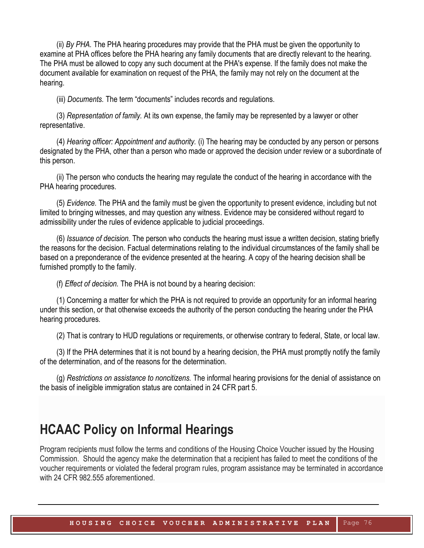(ii) *By PHA.* The PHA hearing procedures may provide that the PHA must be given the opportunity to examine at PHA offices before the PHA hearing any family documents that are directly relevant to the hearing. The PHA must be allowed to copy any such document at the PHA's expense. If the family does not make the document available for examination on request of the PHA, the family may not rely on the document at the hearing.

(iii) *Documents.* The term "documents" includes records and regulations.

(3) *Representation of family.* At its own expense, the family may be represented by a lawyer or other representative.

(4) *Hearing officer: Appointment and authority.* (i) The hearing may be conducted by any person or persons designated by the PHA, other than a person who made or approved the decision under review or a subordinate of this person.

(ii) The person who conducts the hearing may regulate the conduct of the hearing in accordance with the PHA hearing procedures.

(5) *Evidence.* The PHA and the family must be given the opportunity to present evidence, including but not limited to bringing witnesses, and may question any witness. Evidence may be considered without regard to admissibility under the rules of evidence applicable to judicial proceedings.

(6) *Issuance of decision.* The person who conducts the hearing must issue a written decision, stating briefly the reasons for the decision. Factual determinations relating to the individual circumstances of the family shall be based on a preponderance of the evidence presented at the hearing. A copy of the hearing decision shall be furnished promptly to the family.

(f) *Effect of decision.* The PHA is not bound by a hearing decision:

(1) Concerning a matter for which the PHA is not required to provide an opportunity for an informal hearing under this section, or that otherwise exceeds the authority of the person conducting the hearing under the PHA hearing procedures.

(2) That is contrary to HUD regulations or requirements, or otherwise contrary to federal, State, or local law.

(3) If the PHA determines that it is not bound by a hearing decision, the PHA must promptly notify the family of the determination, and of the reasons for the determination.

(g) *Restrictions on assistance to noncitizens.* The informal hearing provisions for the denial of assistance on the basis of ineligible immigration status are contained in 24 CFR part 5.

## **HCAAC Policy on Informal Hearings**

Program recipients must follow the terms and conditions of the Housing Choice Voucher issued by the Housing Commission. Should the agency make the determination that a recipient has failed to meet the conditions of the voucher requirements or violated the federal program rules, program assistance may be terminated in accordance with 24 CFR 982.555 aforementioned.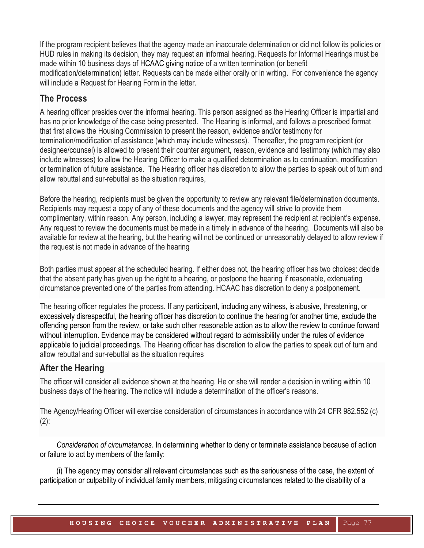If the program recipient believes that the agency made an inaccurate determination or did not follow its policies or HUD rules in making its decision, they may request an informal hearing. Requests for Informal Hearings must be made within 10 business days of HCAAC giving notice of a written termination (or benefit modification/determination) letter. Requests can be made either orally or in writing. For convenience the agency will include a Request for Hearing Form in the letter.

## **The Process**

A hearing officer presides over the informal hearing. This person assigned as the Hearing Officer is impartial and has no prior knowledge of the case being presented. The Hearing is informal, and follows a prescribed format that first allows the Housing Commission to present the reason, evidence and/or testimony for termination/modification of assistance (which may include witnesses). Thereafter, the program recipient (or designee/counsel) is allowed to present their counter argument, reason, evidence and testimony (which may also include witnesses) to allow the Hearing Officer to make a qualified determination as to continuation, modification or termination of future assistance. The Hearing officer has discretion to allow the parties to speak out of turn and allow rebuttal and sur-rebuttal as the situation requires,

Before the hearing, recipients must be given the opportunity to review any relevant file/determination documents. Recipients may request a copy of any of these documents and the agency will strive to provide them complimentary, within reason. Any person, including a lawyer, may represent the recipient at recipient's expense. Any request to review the documents must be made in a timely in advance of the hearing. Documents will also be available for review at the hearing, but the hearing will not be continued or unreasonably delayed to allow review if the request is not made in advance of the hearing

Both parties must appear at the scheduled hearing. If either does not, the hearing officer has two choices: decide that the absent party has given up the right to a hearing, or postpone the hearing if reasonable, extenuating circumstance prevented one of the parties from attending. HCAAC has discretion to deny a postponement.

The hearing officer regulates the process. If any participant, including any witness, is abusive, threatening, or excessively disrespectful, the hearing officer has discretion to continue the hearing for another time, exclude the offending person from the review, or take such other reasonable action as to allow the review to continue forward without interruption. Evidence may be considered without regard to admissibility under the rules of evidence applicable to judicial proceedings. The Hearing officer has discretion to allow the parties to speak out of turn and allow rebuttal and sur-rebuttal as the situation requires

## **After the Hearing**

The officer will consider all evidence shown at the hearing. He or she will render a decision in writing within 10 business days of the hearing. The notice will include a determination of the officer's reasons.

The Agency/Hearing Officer will exercise consideration of circumstances in accordance with 24 CFR 982.552 (c) (2):

*Consideration of circumstances.* In determining whether to deny or terminate assistance because of action or failure to act by members of the family:

(i) The agency may consider all relevant circumstances such as the seriousness of the case, the extent of participation or culpability of individual family members, mitigating circumstances related to the disability of a